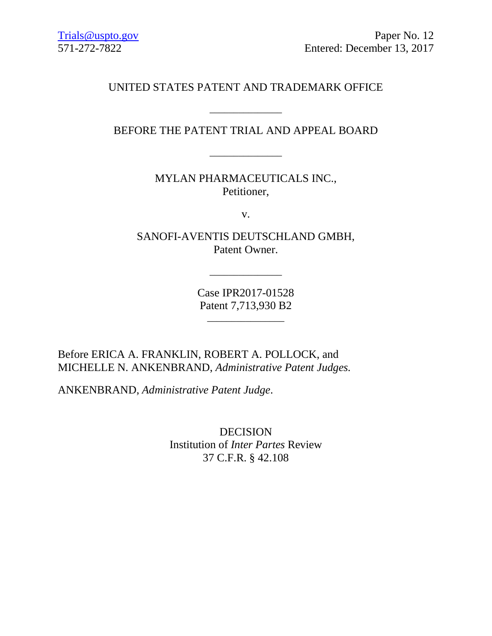# UNITED STATES PATENT AND TRADEMARK OFFICE

# BEFORE THE PATENT TRIAL AND APPEAL BOARD

\_\_\_\_\_\_\_\_\_\_\_\_\_\_\_

MYLAN PHARMACEUTICALS INC., Petitioner,

v.

SANOFI-AVENTIS DEUTSCHLAND GMBH, Patent Owner.

> Case IPR2017-01528 Patent 7,713,930 B2

> > \_\_\_\_\_\_\_\_\_\_\_\_\_\_\_\_

 $\overline{\phantom{a}}$  , and the set of the set of the set of the set of the set of the set of the set of the set of the set of the set of the set of the set of the set of the set of the set of the set of the set of the set of the s

Before ERICA A. FRANKLIN, ROBERT A. POLLOCK, and MICHELLE N. ANKENBRAND, *Administrative Patent Judges.*

ANKENBRAND, *Administrative Patent Judge*.

DECISION Institution of *Inter Partes* Review 37 C.F.R. § 42.108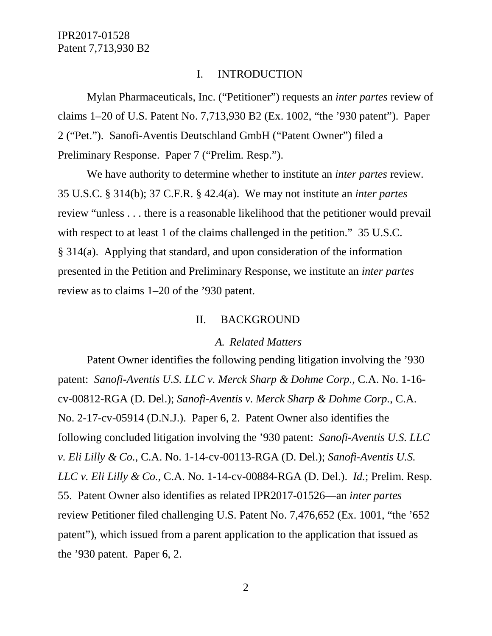#### I. INTRODUCTION

Mylan Pharmaceuticals, Inc. ("Petitioner") requests an *inter partes* review of claims 1–20 of U.S. Patent No. 7,713,930 B2 (Ex. 1002, "the '930 patent"). Paper 2 ("Pet."). Sanofi-Aventis Deutschland GmbH ("Patent Owner") filed a Preliminary Response. Paper 7 ("Prelim. Resp.").

We have authority to determine whether to institute an *inter partes* review. 35 U.S.C. § 314(b); 37 C.F.R. § 42.4(a). We may not institute an *inter partes* review "unless . . . there is a reasonable likelihood that the petitioner would prevail with respect to at least 1 of the claims challenged in the petition." 35 U.S.C. § 314(a). Applying that standard, and upon consideration of the information presented in the Petition and Preliminary Response, we institute an *inter partes*  review as to claims 1–20 of the '930 patent.

#### II. BACKGROUND

#### *A. Related Matters*

Patent Owner identifies the following pending litigation involving the '930 patent: *Sanofi-Aventis U.S. LLC v. Merck Sharp & Dohme Corp.*, C.A. No. 1-16 cv-00812-RGA (D. Del.); *Sanofi-Aventis v. Merck Sharp & Dohme Corp.*, C.A. No. 2-17-cv-05914 (D.N.J.). Paper 6, 2. Patent Owner also identifies the following concluded litigation involving the '930 patent: *Sanofi-Aventis U.S. LLC v. Eli Lilly & Co.*, C.A. No. 1-14-cv-00113-RGA (D. Del.); *Sanofi-Aventis U.S. LLC v. Eli Lilly & Co.*, C.A. No. 1-14-cv-00884-RGA (D. Del.). *Id.*; Prelim. Resp. 55. Patent Owner also identifies as related IPR2017-01526—an *inter partes*  review Petitioner filed challenging U.S. Patent No. 7,476,652 (Ex. 1001, "the '652 patent"), which issued from a parent application to the application that issued as the '930 patent. Paper 6, 2.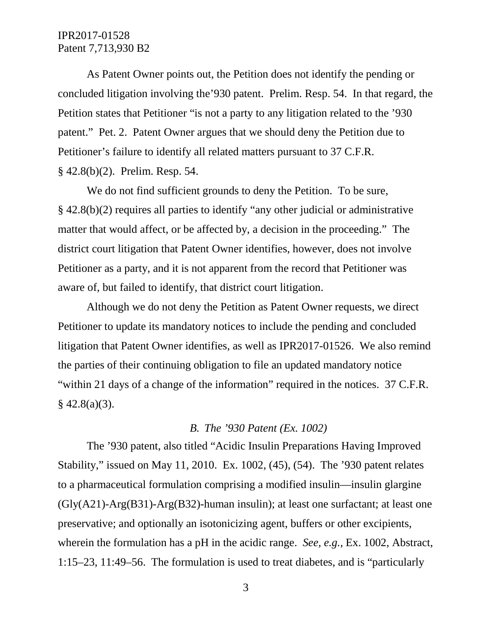As Patent Owner points out, the Petition does not identify the pending or concluded litigation involving the'930 patent. Prelim. Resp. 54. In that regard, the Petition states that Petitioner "is not a party to any litigation related to the '930 patent." Pet. 2. Patent Owner argues that we should deny the Petition due to Petitioner's failure to identify all related matters pursuant to 37 C.F.R. § 42.8(b)(2). Prelim. Resp. 54.

We do not find sufficient grounds to deny the Petition. To be sure, § 42.8(b)(2) requires all parties to identify "any other judicial or administrative matter that would affect, or be affected by, a decision in the proceeding." The district court litigation that Patent Owner identifies, however, does not involve Petitioner as a party, and it is not apparent from the record that Petitioner was aware of, but failed to identify, that district court litigation.

Although we do not deny the Petition as Patent Owner requests, we direct Petitioner to update its mandatory notices to include the pending and concluded litigation that Patent Owner identifies, as well as IPR2017-01526. We also remind the parties of their continuing obligation to file an updated mandatory notice "within 21 days of a change of the information" required in the notices. 37 C.F.R.  $§$  42.8(a)(3).

# *B. The '930 Patent (Ex. 1002)*

The '930 patent, also titled "Acidic Insulin Preparations Having Improved Stability," issued on May 11, 2010. Ex. 1002, (45), (54). The '930 patent relates to a pharmaceutical formulation comprising a modified insulin—insulin glargine  $(Gly(A21)$ -Arg $(B31)$ -Arg $(B32)$ -human insulin); at least one surfactant; at least one preservative; and optionally an isotonicizing agent, buffers or other excipients, wherein the formulation has a pH in the acidic range. *See, e.g.*, Ex. 1002, Abstract, 1:15–23, 11:49–56. The formulation is used to treat diabetes, and is "particularly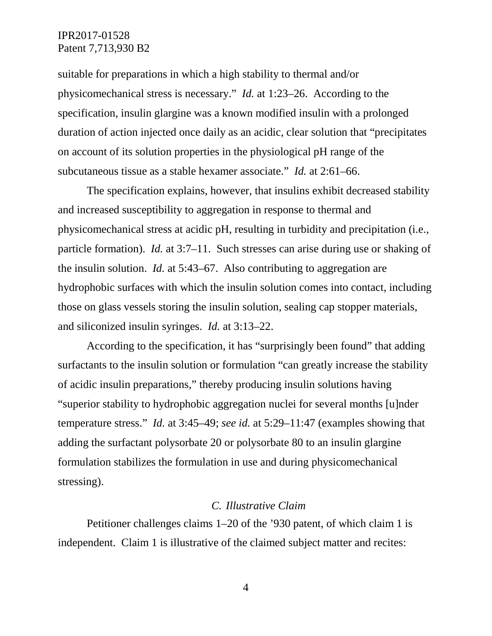suitable for preparations in which a high stability to thermal and/or physicomechanical stress is necessary." *Id.* at 1:23–26. According to the specification, insulin glargine was a known modified insulin with a prolonged duration of action injected once daily as an acidic, clear solution that "precipitates on account of its solution properties in the physiological pH range of the subcutaneous tissue as a stable hexamer associate." *Id.* at 2:61–66.

The specification explains, however, that insulins exhibit decreased stability and increased susceptibility to aggregation in response to thermal and physicomechanical stress at acidic pH, resulting in turbidity and precipitation (i.e., particle formation). *Id.* at 3:7–11. Such stresses can arise during use or shaking of the insulin solution. *Id.* at 5:43–67. Also contributing to aggregation are hydrophobic surfaces with which the insulin solution comes into contact, including those on glass vessels storing the insulin solution, sealing cap stopper materials, and siliconized insulin syringes. *Id.* at 3:13–22.

According to the specification, it has "surprisingly been found" that adding surfactants to the insulin solution or formulation "can greatly increase the stability of acidic insulin preparations," thereby producing insulin solutions having "superior stability to hydrophobic aggregation nuclei for several months [u]nder temperature stress." *Id.* at 3:45–49; *see id.* at 5:29–11:47 (examples showing that adding the surfactant polysorbate 20 or polysorbate 80 to an insulin glargine formulation stabilizes the formulation in use and during physicomechanical stressing).

#### *C. Illustrative Claim*

Petitioner challenges claims 1–20 of the '930 patent, of which claim 1 is independent. Claim 1 is illustrative of the claimed subject matter and recites: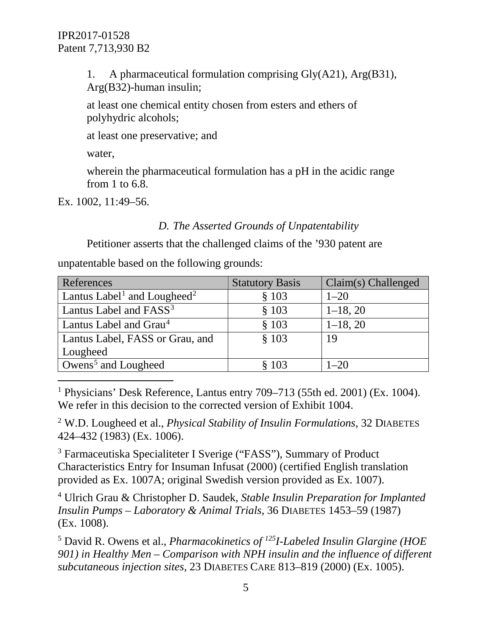1. A pharmaceutical formulation comprising Gly(A21), Arg(B31), Arg(B32)-human insulin;

at least one chemical entity chosen from esters and ethers of polyhydric alcohols;

at least one preservative; and

water,

wherein the pharmaceutical formulation has a pH in the acidic range from 1 to 6.8.

Ex. 1002, 11:49–56.

# *D. The Asserted Grounds of Unpatentability*

Petitioner asserts that the challenged claims of the '930 patent are

unpatentable based on the following grounds:

| References                                          | <b>Statutory Basis</b> | Claim(s) Challenged |
|-----------------------------------------------------|------------------------|---------------------|
| Lantus Label <sup>1</sup> and Lougheed <sup>2</sup> | \$103                  | $1 - 20$            |
| Lantus Label and FASS <sup>3</sup>                  | \$103                  | $1-18, 20$          |
| Lantus Label and Grau <sup>4</sup>                  | \$103                  | $1-18, 20$          |
| Lantus Label, FASS or Grau, and                     | \$103                  | 19                  |
| Lougheed                                            |                        |                     |
| Owens <sup>5</sup> and Lougheed                     | \$103                  | $1 - 20$            |

<span id="page-4-0"></span> 1 Physicians' Desk Reference, Lantus entry 709–713 (55th ed. 2001) (Ex. 1004). We refer in this decision to the corrected version of Exhibit 1004.

<span id="page-4-1"></span><sup>2</sup> W.D. Lougheed et al., *Physical Stability of Insulin Formulations*, 32 DIABETES 424–432 (1983) (Ex. 1006).

<span id="page-4-2"></span><sup>3</sup> Farmaceutiska Specialiteter I Sverige ("FASS"), Summary of Product Characteristics Entry for Insuman Infusat (2000) (certified English translation provided as Ex. 1007A; original Swedish version provided as Ex. 1007).

<span id="page-4-3"></span><sup>4</sup> Ulrich Grau & Christopher D. Saudek, *Stable Insulin Preparation for Implanted Insulin Pumps – Laboratory & Animal Trials*, 36 DIABETES 1453–59 (1987) (Ex. 1008).

<span id="page-4-4"></span><sup>5</sup> David R. Owens et al., *Pharmacokinetics of 125I-Labeled Insulin Glargine (HOE 901) in Healthy Men – Comparison with NPH insulin and the influence of different subcutaneous injection sites*, 23 DIABETES CARE 813–819 (2000) (Ex. 1005).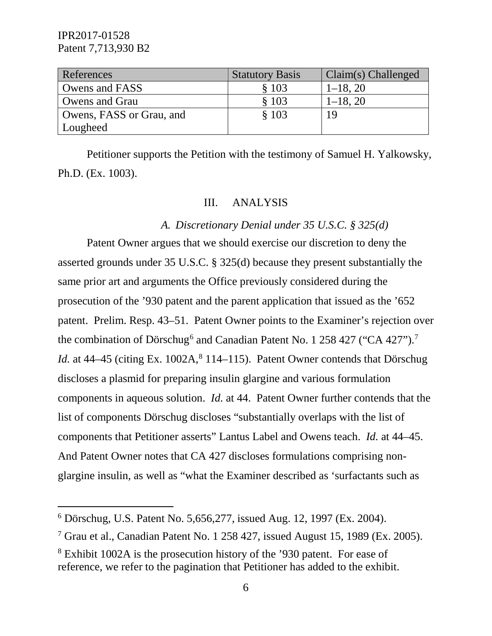| References               | <b>Statutory Basis</b> | $Claim(s)$ Challenged |
|--------------------------|------------------------|-----------------------|
| Owens and FASS           | \$103                  | $1-18, 20$            |
| Owens and Grau           | \$103                  | $1-18, 20$            |
| Owens, FASS or Grau, and | \$103                  |                       |
| Lougheed                 |                        |                       |

Petitioner supports the Petition with the testimony of Samuel H. Yalkowsky, Ph.D. (Ex. 1003).

#### III. ANALYSIS

#### *A. Discretionary Denial under 35 U.S.C. § 325(d)*

Patent Owner argues that we should exercise our discretion to deny the asserted grounds under 35 U.S.C. § 325(d) because they present substantially the same prior art and arguments the Office previously considered during the prosecution of the '930 patent and the parent application that issued as the '652 patent. Prelim. Resp. 43–51. Patent Owner points to the Examiner's rejection over the combination of Dörschug<sup>[6](#page-5-0)</sup> and Canadian Patent No. 1 258 42[7](#page-5-1) ("CA 427").<sup>7</sup> *Id.* at 44–45 (citing Ex.  $1002A$ ,  $8114$  $8114$ –115). Patent Owner contends that Dörschug discloses a plasmid for preparing insulin glargine and various formulation components in aqueous solution. *Id.* at 44. Patent Owner further contends that the list of components Dörschug discloses "substantially overlaps with the list of components that Petitioner asserts" Lantus Label and Owens teach. *Id.* at 44–45. And Patent Owner notes that CA 427 discloses formulations comprising nonglargine insulin, as well as "what the Examiner described as 'surfactants such as

<span id="page-5-0"></span> <sup>6</sup> Dörschug, U.S. Patent No. 5,656,277, issued Aug. 12, 1997 (Ex. 2004).

<span id="page-5-1"></span><sup>7</sup> Grau et al., Canadian Patent No. 1 258 427, issued August 15, 1989 (Ex. 2005).

<span id="page-5-2"></span><sup>8</sup> Exhibit 1002A is the prosecution history of the '930 patent. For ease of reference, we refer to the pagination that Petitioner has added to the exhibit.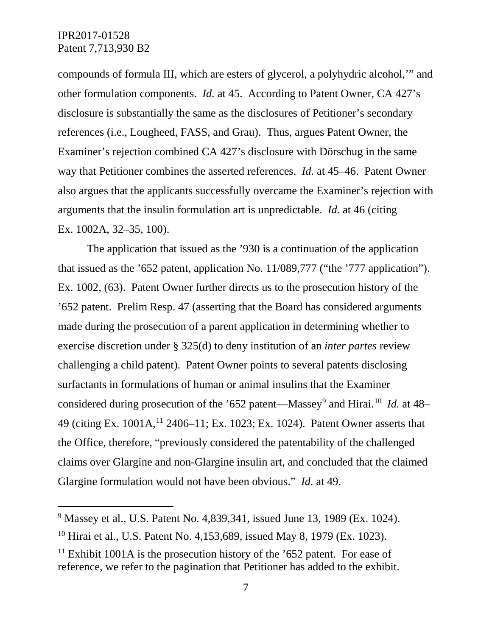compounds of formula III, which are esters of glycerol, a polyhydric alcohol,'" and other formulation components. *Id.* at 45. According to Patent Owner, CA 427's disclosure is substantially the same as the disclosures of Petitioner's secondary references (i.e., Lougheed, FASS, and Grau). Thus, argues Patent Owner, the Examiner's rejection combined CA 427's disclosure with Dörschug in the same way that Petitioner combines the asserted references. *Id.* at 45–46. Patent Owner also argues that the applicants successfully overcame the Examiner's rejection with arguments that the insulin formulation art is unpredictable. *Id.* at 46 (citing Ex. 1002A, 32–35, 100).

The application that issued as the '930 is a continuation of the application that issued as the '652 patent, application No. 11/089,777 ("the '777 application"). Ex. 1002, (63). Patent Owner further directs us to the prosecution history of the '652 patent. Prelim Resp. 47 (asserting that the Board has considered arguments made during the prosecution of a parent application in determining whether to exercise discretion under § 325(d) to deny institution of an *inter partes* review challenging a child patent). Patent Owner points to several patents disclosing surfactants in formulations of human or animal insulins that the Examiner considered during prosecution of the '652 patent—Massey<sup>9</sup> and Hirai.<sup>[10](#page-6-1)</sup> *Id.* at 48– 49 (citing Ex. 1001A,<sup>[11](#page-6-2)</sup> 2406–11; Ex. 1023; Ex. 1024). Patent Owner asserts that the Office, therefore, "previously considered the patentability of the challenged claims over Glargine and non-Glargine insulin art, and concluded that the claimed Glargine formulation would not have been obvious." *Id.* at 49.

<span id="page-6-0"></span> <sup>9</sup> Massey et al., U.S. Patent No. 4,839,341, issued June 13, 1989 (Ex. 1024).

<span id="page-6-1"></span><sup>&</sup>lt;sup>10</sup> Hirai et al., U.S. Patent No. 4,153,689, issued May 8, 1979 (Ex. 1023).

<span id="page-6-2"></span><sup>&</sup>lt;sup>11</sup> Exhibit 1001A is the prosecution history of the  $652$  patent. For ease of reference, we refer to the pagination that Petitioner has added to the exhibit.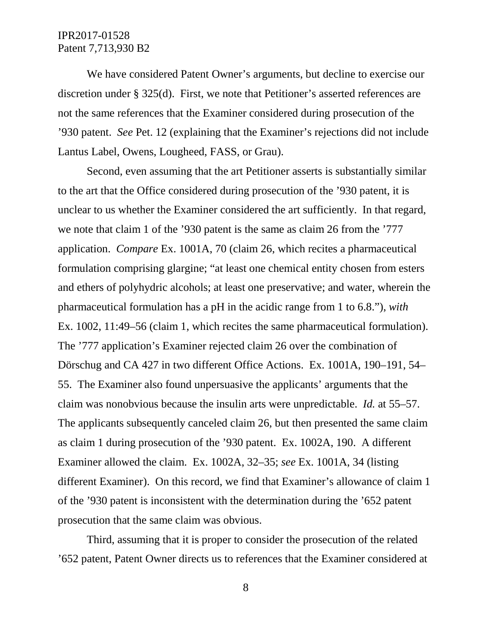We have considered Patent Owner's arguments, but decline to exercise our discretion under § 325(d). First, we note that Petitioner's asserted references are not the same references that the Examiner considered during prosecution of the '930 patent. *See* Pet. 12 (explaining that the Examiner's rejections did not include Lantus Label, Owens, Lougheed, FASS, or Grau).

Second, even assuming that the art Petitioner asserts is substantially similar to the art that the Office considered during prosecution of the '930 patent, it is unclear to us whether the Examiner considered the art sufficiently. In that regard, we note that claim 1 of the '930 patent is the same as claim 26 from the '777 application. *Compare* Ex. 1001A, 70 (claim 26, which recites a pharmaceutical formulation comprising glargine; "at least one chemical entity chosen from esters and ethers of polyhydric alcohols; at least one preservative; and water, wherein the pharmaceutical formulation has a pH in the acidic range from 1 to 6.8."), *with* Ex. 1002, 11:49–56 (claim 1, which recites the same pharmaceutical formulation). The '777 application's Examiner rejected claim 26 over the combination of Dörschug and CA 427 in two different Office Actions. Ex. 1001A, 190–191, 54– 55. The Examiner also found unpersuasive the applicants' arguments that the claim was nonobvious because the insulin arts were unpredictable. *Id.* at 55–57. The applicants subsequently canceled claim 26, but then presented the same claim as claim 1 during prosecution of the '930 patent. Ex. 1002A, 190. A different Examiner allowed the claim. Ex. 1002A, 32–35; *see* Ex. 1001A, 34 (listing different Examiner). On this record, we find that Examiner's allowance of claim 1 of the '930 patent is inconsistent with the determination during the '652 patent prosecution that the same claim was obvious.

Third, assuming that it is proper to consider the prosecution of the related '652 patent, Patent Owner directs us to references that the Examiner considered at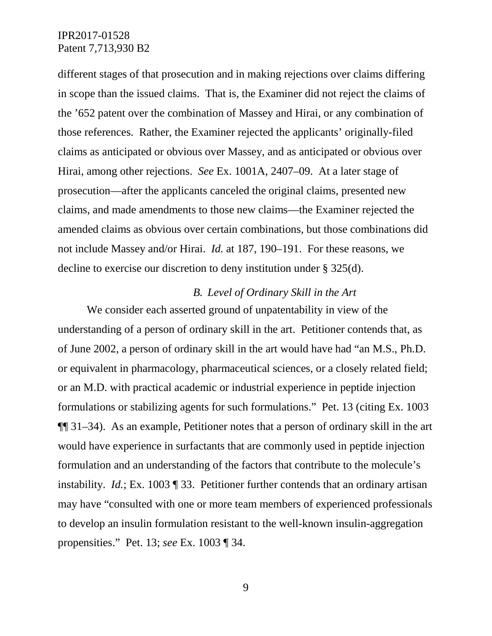different stages of that prosecution and in making rejections over claims differing in scope than the issued claims. That is, the Examiner did not reject the claims of the '652 patent over the combination of Massey and Hirai, or any combination of those references. Rather, the Examiner rejected the applicants' originally-filed claims as anticipated or obvious over Massey, and as anticipated or obvious over Hirai, among other rejections. *See* Ex. 1001A, 2407–09. At a later stage of prosecution—after the applicants canceled the original claims, presented new claims, and made amendments to those new claims—the Examiner rejected the amended claims as obvious over certain combinations, but those combinations did not include Massey and/or Hirai. *Id.* at 187, 190–191. For these reasons, we decline to exercise our discretion to deny institution under § 325(d).

### *B. Level of Ordinary Skill in the Art*

We consider each asserted ground of unpatentability in view of the understanding of a person of ordinary skill in the art. Petitioner contends that, as of June 2002, a person of ordinary skill in the art would have had "an M.S., Ph.D. or equivalent in pharmacology, pharmaceutical sciences, or a closely related field; or an M.D. with practical academic or industrial experience in peptide injection formulations or stabilizing agents for such formulations." Pet. 13 (citing Ex. 1003 ¶¶ 31–34). As an example, Petitioner notes that a person of ordinary skill in the art would have experience in surfactants that are commonly used in peptide injection formulation and an understanding of the factors that contribute to the molecule's instability. *Id.*; Ex. 1003 ¶ 33. Petitioner further contends that an ordinary artisan may have "consulted with one or more team members of experienced professionals to develop an insulin formulation resistant to the well-known insulin-aggregation propensities." Pet. 13; *see* Ex. 1003 ¶ 34.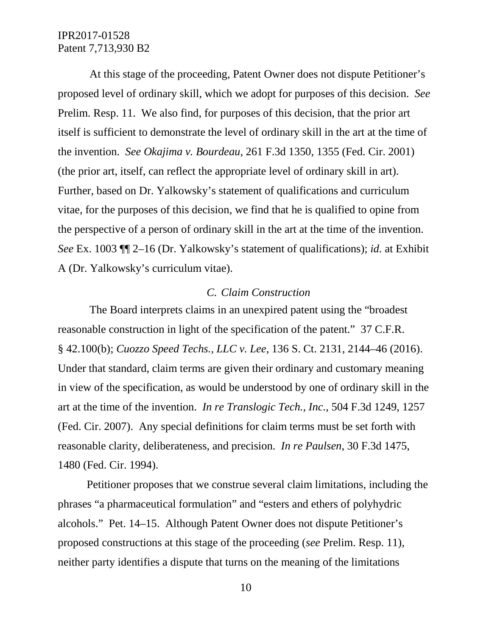At this stage of the proceeding, Patent Owner does not dispute Petitioner's proposed level of ordinary skill, which we adopt for purposes of this decision. *See* Prelim. Resp. 11. We also find, for purposes of this decision, that the prior art itself is sufficient to demonstrate the level of ordinary skill in the art at the time of the invention. *See Okajima v. Bourdeau*, 261 F.3d 1350, 1355 (Fed. Cir. 2001) (the prior art, itself, can reflect the appropriate level of ordinary skill in art). Further, based on Dr. Yalkowsky's statement of qualifications and curriculum vitae, for the purposes of this decision, we find that he is qualified to opine from the perspective of a person of ordinary skill in the art at the time of the invention. *See* Ex. 1003 ¶¶ 2–16 (Dr. Yalkowsky's statement of qualifications); *id.* at Exhibit A (Dr. Yalkowsky's curriculum vitae).

## *C. Claim Construction*

The Board interprets claims in an unexpired patent using the "broadest reasonable construction in light of the specification of the patent." 37 C.F.R. § 42.100(b); *Cuozzo Speed Techs., LLC v. Lee*, 136 S. Ct. 2131, 2144–46 (2016). Under that standard, claim terms are given their ordinary and customary meaning in view of the specification, as would be understood by one of ordinary skill in the art at the time of the invention. *In re Translogic Tech., Inc.*, 504 F.3d 1249, 1257 (Fed. Cir. 2007). Any special definitions for claim terms must be set forth with reasonable clarity, deliberateness, and precision. *In re Paulsen*, 30 F.3d 1475, 1480 (Fed. Cir. 1994).

Petitioner proposes that we construe several claim limitations, including the phrases "a pharmaceutical formulation" and "esters and ethers of polyhydric alcohols." Pet. 14–15. Although Patent Owner does not dispute Petitioner's proposed constructions at this stage of the proceeding (*see* Prelim. Resp. 11), neither party identifies a dispute that turns on the meaning of the limitations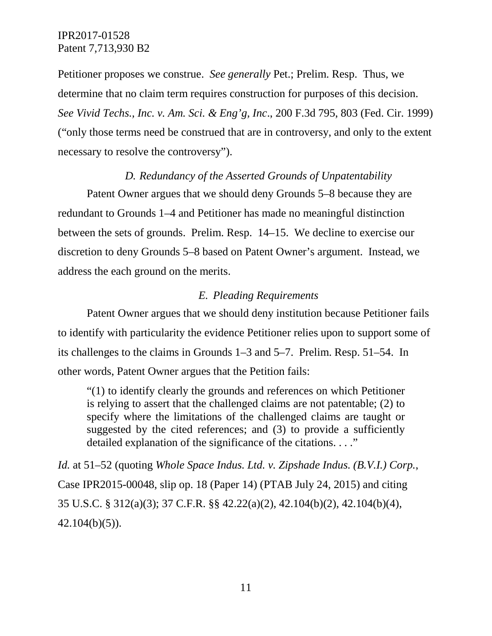Petitioner proposes we construe. *See generally* Pet.; Prelim. Resp. Thus, we determine that no claim term requires construction for purposes of this decision. *See Vivid Techs., Inc. v. Am. Sci. & Eng'g, Inc*., 200 F.3d 795, 803 (Fed. Cir. 1999) ("only those terms need be construed that are in controversy, and only to the extent necessary to resolve the controversy").

### *D. Redundancy of the Asserted Grounds of Unpatentability*

Patent Owner argues that we should deny Grounds 5–8 because they are redundant to Grounds 1–4 and Petitioner has made no meaningful distinction between the sets of grounds. Prelim. Resp. 14–15. We decline to exercise our discretion to deny Grounds 5–8 based on Patent Owner's argument. Instead, we address the each ground on the merits.

#### *E. Pleading Requirements*

Patent Owner argues that we should deny institution because Petitioner fails to identify with particularity the evidence Petitioner relies upon to support some of its challenges to the claims in Grounds 1–3 and 5–7. Prelim. Resp. 51–54. In other words, Patent Owner argues that the Petition fails:

"(1) to identify clearly the grounds and references on which Petitioner is relying to assert that the challenged claims are not patentable; (2) to specify where the limitations of the challenged claims are taught or suggested by the cited references; and (3) to provide a sufficiently detailed explanation of the significance of the citations. . . ."

*Id.* at 51–52 (quoting *Whole Space Indus. Ltd. v. Zipshade Indus. (B.V.I.) Corp.*, Case IPR2015-00048, slip op. 18 (Paper 14) (PTAB July 24, 2015) and citing 35 U.S.C. § 312(a)(3); 37 C.F.R. §§ 42.22(a)(2), 42.104(b)(2), 42.104(b)(4), 42.104(b)(5)).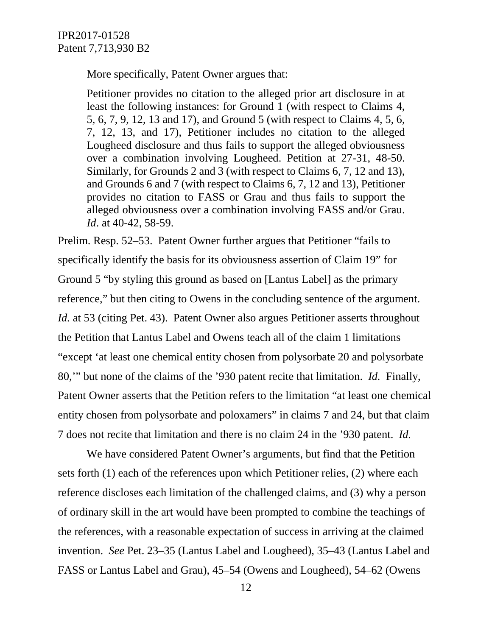More specifically, Patent Owner argues that:

Petitioner provides no citation to the alleged prior art disclosure in at least the following instances: for Ground 1 (with respect to Claims 4, 5, 6, 7, 9, 12, 13 and 17), and Ground 5 (with respect to Claims 4, 5, 6, 7, 12, 13, and 17), Petitioner includes no citation to the alleged Lougheed disclosure and thus fails to support the alleged obviousness over a combination involving Lougheed. Petition at 27-31, 48-50. Similarly, for Grounds 2 and 3 (with respect to Claims 6, 7, 12 and 13), and Grounds 6 and 7 (with respect to Claims 6, 7, 12 and 13), Petitioner provides no citation to FASS or Grau and thus fails to support the alleged obviousness over a combination involving FASS and/or Grau. *Id*. at 40-42, 58-59.

Prelim. Resp. 52–53. Patent Owner further argues that Petitioner "fails to specifically identify the basis for its obviousness assertion of Claim 19" for Ground 5 "by styling this ground as based on [Lantus Label] as the primary reference," but then citing to Owens in the concluding sentence of the argument. *Id.* at 53 (citing Pet. 43). Patent Owner also argues Petitioner asserts throughout the Petition that Lantus Label and Owens teach all of the claim 1 limitations "except 'at least one chemical entity chosen from polysorbate 20 and polysorbate 80,'" but none of the claims of the '930 patent recite that limitation. *Id.* Finally, Patent Owner asserts that the Petition refers to the limitation "at least one chemical entity chosen from polysorbate and poloxamers" in claims 7 and 24, but that claim 7 does not recite that limitation and there is no claim 24 in the '930 patent. *Id.*

We have considered Patent Owner's arguments, but find that the Petition sets forth (1) each of the references upon which Petitioner relies, (2) where each reference discloses each limitation of the challenged claims, and (3) why a person of ordinary skill in the art would have been prompted to combine the teachings of the references, with a reasonable expectation of success in arriving at the claimed invention. *See* Pet. 23–35 (Lantus Label and Lougheed), 35–43 (Lantus Label and FASS or Lantus Label and Grau), 45–54 (Owens and Lougheed), 54–62 (Owens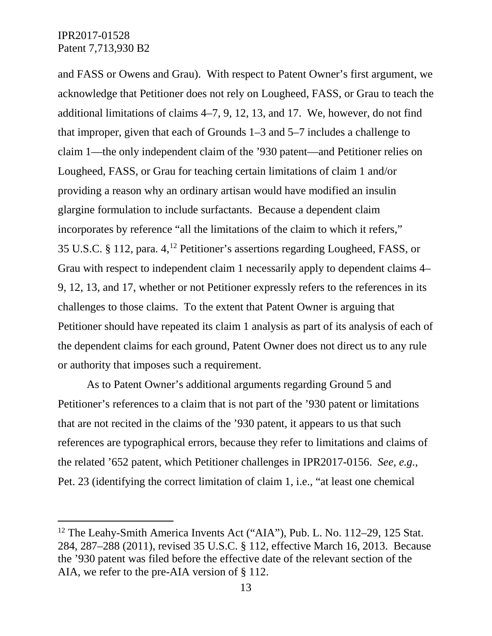and FASS or Owens and Grau). With respect to Patent Owner's first argument, we acknowledge that Petitioner does not rely on Lougheed, FASS, or Grau to teach the additional limitations of claims 4–7, 9, 12, 13, and 17. We, however, do not find that improper, given that each of Grounds 1–3 and 5–7 includes a challenge to claim 1—the only independent claim of the '930 patent—and Petitioner relies on Lougheed, FASS, or Grau for teaching certain limitations of claim 1 and/or providing a reason why an ordinary artisan would have modified an insulin glargine formulation to include surfactants. Because a dependent claim incorporates by reference "all the limitations of the claim to which it refers," 35 U.S.C. § 112, para. 4, [12](#page-12-0) Petitioner's assertions regarding Lougheed, FASS, or Grau with respect to independent claim 1 necessarily apply to dependent claims 4– 9, 12, 13, and 17, whether or not Petitioner expressly refers to the references in its challenges to those claims. To the extent that Patent Owner is arguing that Petitioner should have repeated its claim 1 analysis as part of its analysis of each of the dependent claims for each ground, Patent Owner does not direct us to any rule or authority that imposes such a requirement.

As to Patent Owner's additional arguments regarding Ground 5 and Petitioner's references to a claim that is not part of the '930 patent or limitations that are not recited in the claims of the '930 patent, it appears to us that such references are typographical errors, because they refer to limitations and claims of the related '652 patent, which Petitioner challenges in IPR2017-0156. *See, e.g.*, Pet. 23 (identifying the correct limitation of claim 1, i.e., "at least one chemical

<span id="page-12-0"></span><sup>&</sup>lt;sup>12</sup> The Leahy-Smith America Invents Act ("AIA"), Pub. L. No. 112–29, 125 Stat. 284, 287–288 (2011), revised 35 U.S.C. § 112, effective March 16, 2013. Because the '930 patent was filed before the effective date of the relevant section of the AIA, we refer to the pre-AIA version of § 112.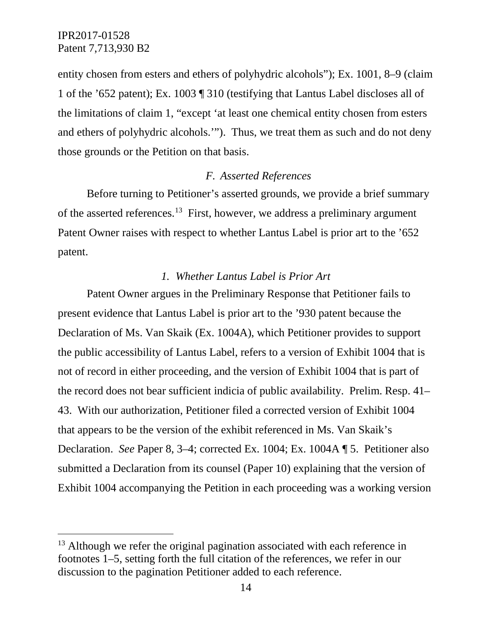entity chosen from esters and ethers of polyhydric alcohols"); Ex. 1001, 8–9 (claim 1 of the '652 patent); Ex. 1003 ¶ 310 (testifying that Lantus Label discloses all of the limitations of claim 1, "except 'at least one chemical entity chosen from esters and ethers of polyhydric alcohols.'"). Thus, we treat them as such and do not deny those grounds or the Petition on that basis.

### *F. Asserted References*

Before turning to Petitioner's asserted grounds, we provide a brief summary of the asserted references.[13](#page-13-0) First, however, we address a preliminary argument Patent Owner raises with respect to whether Lantus Label is prior art to the '652 patent.

### *1. Whether Lantus Label is Prior Art*

Patent Owner argues in the Preliminary Response that Petitioner fails to present evidence that Lantus Label is prior art to the '930 patent because the Declaration of Ms. Van Skaik (Ex. 1004A), which Petitioner provides to support the public accessibility of Lantus Label, refers to a version of Exhibit 1004 that is not of record in either proceeding, and the version of Exhibit 1004 that is part of the record does not bear sufficient indicia of public availability. Prelim. Resp. 41– 43. With our authorization, Petitioner filed a corrected version of Exhibit 1004 that appears to be the version of the exhibit referenced in Ms. Van Skaik's Declaration. *See* Paper 8, 3–4; corrected Ex. 1004; Ex. 1004A ¶ 5. Petitioner also submitted a Declaration from its counsel (Paper 10) explaining that the version of Exhibit 1004 accompanying the Petition in each proceeding was a working version

<span id="page-13-0"></span><sup>&</sup>lt;sup>13</sup> Although we refer the original pagination associated with each reference in footnotes 1–5, setting forth the full citation of the references, we refer in our discussion to the pagination Petitioner added to each reference.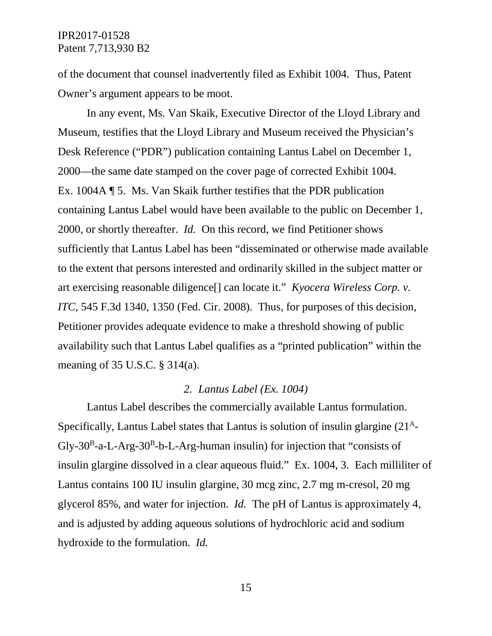of the document that counsel inadvertently filed as Exhibit 1004. Thus, Patent Owner's argument appears to be moot.

In any event, Ms. Van Skaik, Executive Director of the Lloyd Library and Museum, testifies that the Lloyd Library and Museum received the Physician's Desk Reference ("PDR") publication containing Lantus Label on December 1, 2000—the same date stamped on the cover page of corrected Exhibit 1004. Ex. 1004A ¶ 5. Ms. Van Skaik further testifies that the PDR publication containing Lantus Label would have been available to the public on December 1, 2000, or shortly thereafter. *Id.* On this record, we find Petitioner shows sufficiently that Lantus Label has been "disseminated or otherwise made available to the extent that persons interested and ordinarily skilled in the subject matter or art exercising reasonable diligence[] can locate it." *Kyocera Wireless Corp. v. ITC*, 545 F.3d 1340, 1350 (Fed. Cir. 2008). Thus, for purposes of this decision, Petitioner provides adequate evidence to make a threshold showing of public availability such that Lantus Label qualifies as a "printed publication" within the meaning of 35 U.S.C. § 314(a).

#### *2. Lantus Label (Ex. 1004)*

Lantus Label describes the commercially available Lantus formulation. Specifically, Lantus Label states that Lantus is solution of insulin glargine (21A-Gly-30<sup>B</sup>-a-L-Arg-30<sup>B</sup>-b-L-Arg-human insulin) for injection that "consists of insulin glargine dissolved in a clear aqueous fluid." Ex. 1004, 3. Each milliliter of Lantus contains 100 IU insulin glargine, 30 mcg zinc, 2.7 mg m-cresol, 20 mg glycerol 85%, and water for injection. *Id.* The pH of Lantus is approximately 4, and is adjusted by adding aqueous solutions of hydrochloric acid and sodium hydroxide to the formulation. *Id.*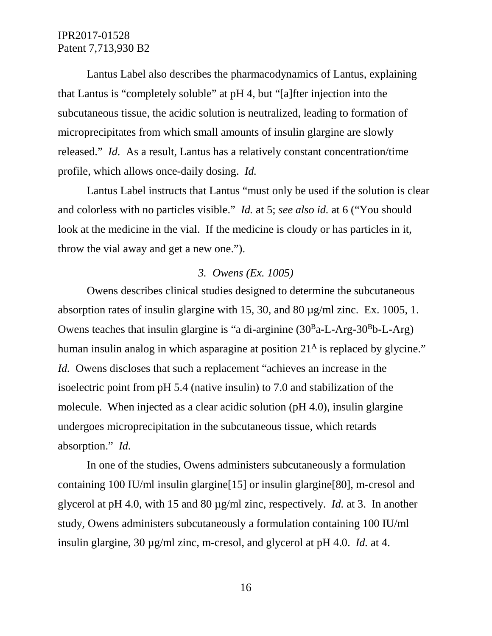Lantus Label also describes the pharmacodynamics of Lantus, explaining that Lantus is "completely soluble" at pH 4, but "[a]fter injection into the subcutaneous tissue, the acidic solution is neutralized, leading to formation of microprecipitates from which small amounts of insulin glargine are slowly released." *Id.* As a result, Lantus has a relatively constant concentration/time profile, which allows once-daily dosing. *Id.*

Lantus Label instructs that Lantus "must only be used if the solution is clear and colorless with no particles visible." *Id.* at 5; *see also id.* at 6 ("You should look at the medicine in the vial. If the medicine is cloudy or has particles in it, throw the vial away and get a new one.").

### *3. Owens (Ex. 1005)*

Owens describes clinical studies designed to determine the subcutaneous absorption rates of insulin glargine with 15, 30, and 80 µg/ml zinc. Ex. 1005, 1. Owens teaches that insulin glargine is "a di-arginine  $(30<sup>B</sup>a-L-Arg-30<sup>B</sup>b-L-Arg)$ human insulin analog in which asparagine at position  $21<sup>A</sup>$  is replaced by glycine." *Id.* Owens discloses that such a replacement "achieves an increase in the isoelectric point from pH 5.4 (native insulin) to 7.0 and stabilization of the molecule. When injected as a clear acidic solution (pH 4.0), insulin glargine undergoes microprecipitation in the subcutaneous tissue, which retards absorption." *Id.*

In one of the studies, Owens administers subcutaneously a formulation containing 100 IU/ml insulin glargine[15] or insulin glargine[80], m-cresol and glycerol at pH 4.0, with 15 and 80 µg/ml zinc, respectively. *Id.* at 3. In another study, Owens administers subcutaneously a formulation containing 100 IU/ml insulin glargine, 30 µg/ml zinc, m-cresol, and glycerol at pH 4.0. *Id.* at 4.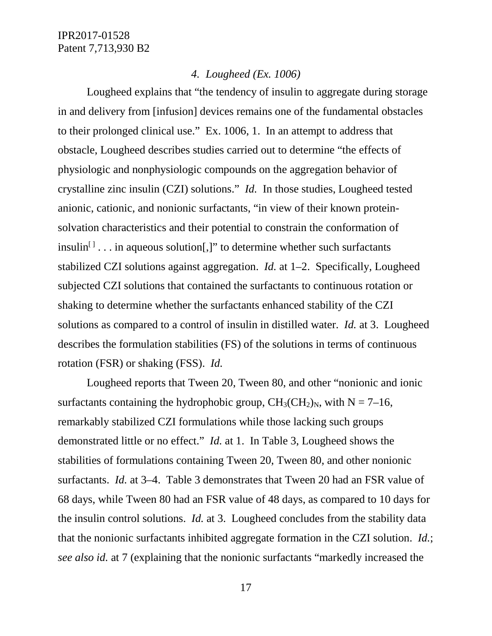## *4. Lougheed (Ex. 1006)*

Lougheed explains that "the tendency of insulin to aggregate during storage in and delivery from [infusion] devices remains one of the fundamental obstacles to their prolonged clinical use." Ex. 1006, 1. In an attempt to address that obstacle, Lougheed describes studies carried out to determine "the effects of physiologic and nonphysiologic compounds on the aggregation behavior of crystalline zinc insulin (CZI) solutions." *Id.* In those studies, Lougheed tested anionic, cationic, and nonionic surfactants, "in view of their known proteinsolvation characteristics and their potential to constrain the conformation of insulin<sup> $\lfloor$  ... in aqueous solution[,]" to determine whether such surfactants</sup> stabilized CZI solutions against aggregation. *Id.* at 1–2. Specifically, Lougheed subjected CZI solutions that contained the surfactants to continuous rotation or shaking to determine whether the surfactants enhanced stability of the CZI solutions as compared to a control of insulin in distilled water. *Id.* at 3. Lougheed describes the formulation stabilities (FS) of the solutions in terms of continuous rotation (FSR) or shaking (FSS). *Id.*

Lougheed reports that Tween 20, Tween 80, and other "nonionic and ionic surfactants containing the hydrophobic group,  $CH_3CH_2$ <sub>N</sub>, with N = 7–16, remarkably stabilized CZI formulations while those lacking such groups demonstrated little or no effect." *Id.* at 1. In Table 3, Lougheed shows the stabilities of formulations containing Tween 20, Tween 80, and other nonionic surfactants. *Id.* at 3–4. Table 3 demonstrates that Tween 20 had an FSR value of 68 days, while Tween 80 had an FSR value of 48 days, as compared to 10 days for the insulin control solutions. *Id.* at 3. Lougheed concludes from the stability data that the nonionic surfactants inhibited aggregate formation in the CZI solution. *Id.*; *see also id.* at 7 (explaining that the nonionic surfactants "markedly increased the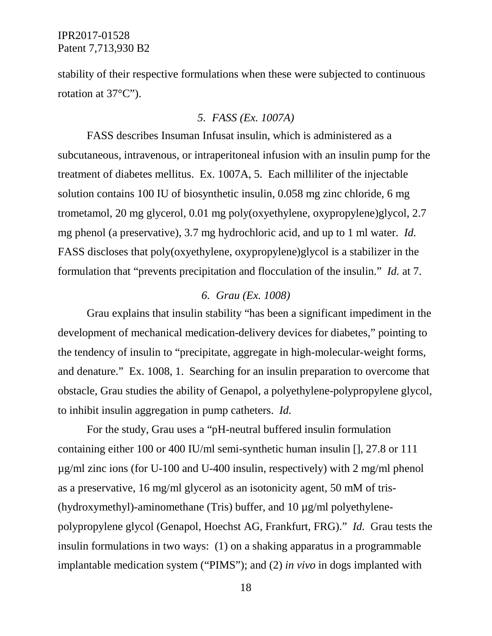stability of their respective formulations when these were subjected to continuous rotation at 37°C").

### *5. FASS (Ex. 1007A)*

FASS describes Insuman Infusat insulin, which is administered as a subcutaneous, intravenous, or intraperitoneal infusion with an insulin pump for the treatment of diabetes mellitus. Ex. 1007A, 5. Each milliliter of the injectable solution contains 100 IU of biosynthetic insulin, 0.058 mg zinc chloride, 6 mg trometamol, 20 mg glycerol, 0.01 mg poly(oxyethylene, oxypropylene)glycol, 2.7 mg phenol (a preservative), 3.7 mg hydrochloric acid, and up to 1 ml water. *Id.* FASS discloses that poly(oxyethylene, oxypropylene)glycol is a stabilizer in the formulation that "prevents precipitation and flocculation of the insulin." *Id.* at 7.

### *6. Grau (Ex. 1008)*

Grau explains that insulin stability "has been a significant impediment in the development of mechanical medication-delivery devices for diabetes," pointing to the tendency of insulin to "precipitate, aggregate in high-molecular-weight forms, and denature." Ex. 1008, 1. Searching for an insulin preparation to overcome that obstacle, Grau studies the ability of Genapol, a polyethylene-polypropylene glycol, to inhibit insulin aggregation in pump catheters. *Id.*

For the study, Grau uses a "pH-neutral buffered insulin formulation containing either 100 or 400 IU/ml semi-synthetic human insulin [], 27.8 or 111 µg/ml zinc ions (for U-100 and U-400 insulin, respectively) with 2 mg/ml phenol as a preservative, 16 mg/ml glycerol as an isotonicity agent, 50 mM of tris- (hydroxymethyl)-aminomethane (Tris) buffer, and 10 µg/ml polyethylenepolypropylene glycol (Genapol, Hoechst AG, Frankfurt, FRG)." *Id.* Grau tests the insulin formulations in two ways: (1) on a shaking apparatus in a programmable implantable medication system ("PIMS"); and (2) *in vivo* in dogs implanted with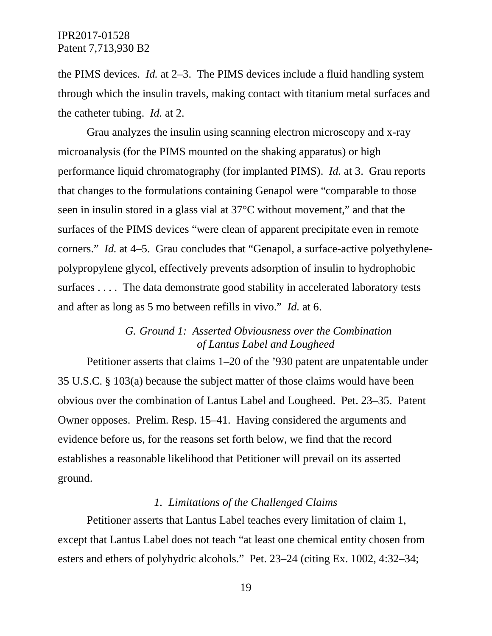the PIMS devices. *Id.* at 2–3. The PIMS devices include a fluid handling system through which the insulin travels, making contact with titanium metal surfaces and the catheter tubing. *Id.* at 2.

Grau analyzes the insulin using scanning electron microscopy and x-ray microanalysis (for the PIMS mounted on the shaking apparatus) or high performance liquid chromatography (for implanted PIMS). *Id.* at 3. Grau reports that changes to the formulations containing Genapol were "comparable to those seen in insulin stored in a glass vial at 37°C without movement," and that the surfaces of the PIMS devices "were clean of apparent precipitate even in remote corners." *Id.* at 4–5. Grau concludes that "Genapol, a surface-active polyethylenepolypropylene glycol, effectively prevents adsorption of insulin to hydrophobic surfaces . . . . The data demonstrate good stability in accelerated laboratory tests and after as long as 5 mo between refills in vivo." *Id.* at 6.

## *G. Ground 1: Asserted Obviousness over the Combination of Lantus Label and Lougheed*

Petitioner asserts that claims 1–20 of the '930 patent are unpatentable under 35 U.S.C. § 103(a) because the subject matter of those claims would have been obvious over the combination of Lantus Label and Lougheed. Pet. 23–35. Patent Owner opposes. Prelim. Resp. 15–41. Having considered the arguments and evidence before us, for the reasons set forth below, we find that the record establishes a reasonable likelihood that Petitioner will prevail on its asserted ground.

### *1. Limitations of the Challenged Claims*

Petitioner asserts that Lantus Label teaches every limitation of claim 1, except that Lantus Label does not teach "at least one chemical entity chosen from esters and ethers of polyhydric alcohols." Pet. 23–24 (citing Ex. 1002, 4:32–34;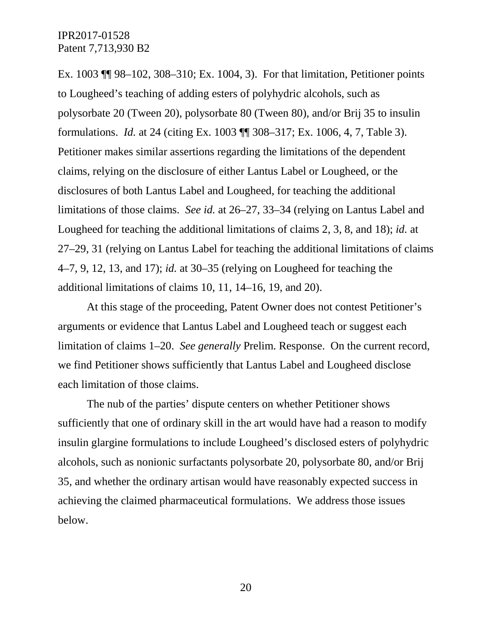Ex. 1003 ¶¶ 98–102, 308–310; Ex. 1004, 3). For that limitation, Petitioner points to Lougheed's teaching of adding esters of polyhydric alcohols, such as polysorbate 20 (Tween 20), polysorbate 80 (Tween 80), and/or Brij 35 to insulin formulations. *Id.* at 24 (citing Ex. 1003 ¶¶ 308–317; Ex. 1006, 4, 7, Table 3). Petitioner makes similar assertions regarding the limitations of the dependent claims, relying on the disclosure of either Lantus Label or Lougheed, or the disclosures of both Lantus Label and Lougheed, for teaching the additional limitations of those claims. *See id.* at 26–27, 33–34 (relying on Lantus Label and Lougheed for teaching the additional limitations of claims 2, 3, 8, and 18); *id.* at 27–29, 31 (relying on Lantus Label for teaching the additional limitations of claims 4–7, 9, 12, 13, and 17); *id.* at 30–35 (relying on Lougheed for teaching the additional limitations of claims 10, 11, 14–16, 19, and 20).

At this stage of the proceeding, Patent Owner does not contest Petitioner's arguments or evidence that Lantus Label and Lougheed teach or suggest each limitation of claims 1–20. *See generally* Prelim. Response. On the current record, we find Petitioner shows sufficiently that Lantus Label and Lougheed disclose each limitation of those claims.

The nub of the parties' dispute centers on whether Petitioner shows sufficiently that one of ordinary skill in the art would have had a reason to modify insulin glargine formulations to include Lougheed's disclosed esters of polyhydric alcohols, such as nonionic surfactants polysorbate 20, polysorbate 80, and/or Brij 35, and whether the ordinary artisan would have reasonably expected success in achieving the claimed pharmaceutical formulations. We address those issues below.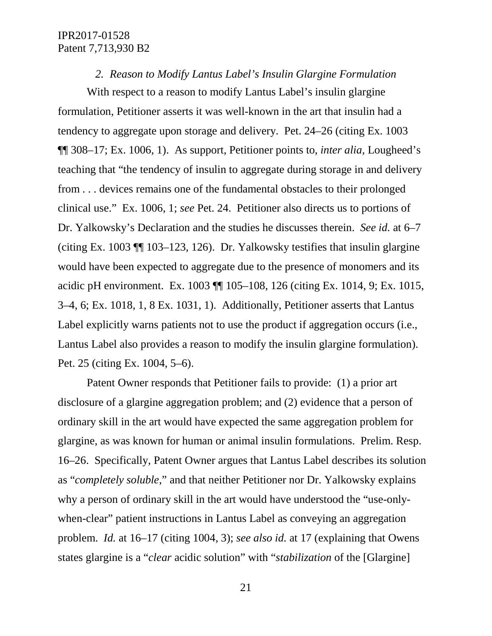#### *2. Reason to Modify Lantus Label's Insulin Glargine Formulation*

With respect to a reason to modify Lantus Label's insulin glargine formulation, Petitioner asserts it was well-known in the art that insulin had a tendency to aggregate upon storage and delivery. Pet. 24–26 (citing Ex. 1003 ¶¶ 308–17; Ex. 1006, 1). As support, Petitioner points to, *inter alia*, Lougheed's teaching that "the tendency of insulin to aggregate during storage in and delivery from . . . devices remains one of the fundamental obstacles to their prolonged clinical use." Ex. 1006, 1; *see* Pet. 24. Petitioner also directs us to portions of Dr. Yalkowsky's Declaration and the studies he discusses therein. *See id.* at 6–7 (citing Ex. 1003 ¶¶ 103–123, 126). Dr. Yalkowsky testifies that insulin glargine would have been expected to aggregate due to the presence of monomers and its acidic pH environment. Ex. 1003 ¶¶ 105–108, 126 (citing Ex. 1014, 9; Ex. 1015, 3–4, 6; Ex. 1018, 1, 8 Ex. 1031, 1). Additionally, Petitioner asserts that Lantus Label explicitly warns patients not to use the product if aggregation occurs (i.e., Lantus Label also provides a reason to modify the insulin glargine formulation). Pet. 25 (citing Ex. 1004, 5–6).

Patent Owner responds that Petitioner fails to provide: (1) a prior art disclosure of a glargine aggregation problem; and (2) evidence that a person of ordinary skill in the art would have expected the same aggregation problem for glargine, as was known for human or animal insulin formulations. Prelim. Resp. 16–26. Specifically, Patent Owner argues that Lantus Label describes its solution as "*completely soluble*," and that neither Petitioner nor Dr. Yalkowsky explains why a person of ordinary skill in the art would have understood the "use-onlywhen-clear" patient instructions in Lantus Label as conveying an aggregation problem. *Id.* at 16–17 (citing 1004, 3); *see also id.* at 17 (explaining that Owens states glargine is a "*clear* acidic solution" with "*stabilization* of the [Glargine]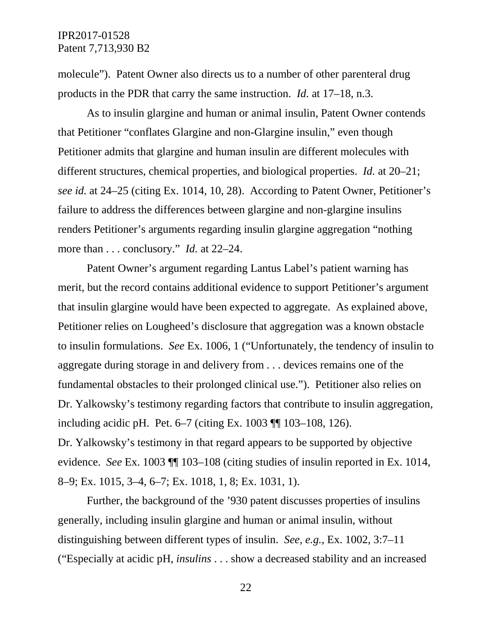molecule"). Patent Owner also directs us to a number of other parenteral drug products in the PDR that carry the same instruction. *Id.* at 17–18, n.3.

As to insulin glargine and human or animal insulin, Patent Owner contends that Petitioner "conflates Glargine and non-Glargine insulin," even though Petitioner admits that glargine and human insulin are different molecules with different structures, chemical properties, and biological properties. *Id.* at 20–21; *see id.* at 24–25 (citing Ex. 1014, 10, 28). According to Patent Owner, Petitioner's failure to address the differences between glargine and non-glargine insulins renders Petitioner's arguments regarding insulin glargine aggregation "nothing more than . . . conclusory." *Id.* at 22–24.

Patent Owner's argument regarding Lantus Label's patient warning has merit, but the record contains additional evidence to support Petitioner's argument that insulin glargine would have been expected to aggregate. As explained above, Petitioner relies on Lougheed's disclosure that aggregation was a known obstacle to insulin formulations. *See* Ex. 1006, 1 ("Unfortunately, the tendency of insulin to aggregate during storage in and delivery from . . . devices remains one of the fundamental obstacles to their prolonged clinical use."). Petitioner also relies on Dr. Yalkowsky's testimony regarding factors that contribute to insulin aggregation, including acidic pH. Pet. 6–7 (citing Ex. 1003 ¶¶ 103–108, 126). Dr. Yalkowsky's testimony in that regard appears to be supported by objective evidence. *See* Ex. 1003 ¶¶ 103–108 (citing studies of insulin reported in Ex. 1014, 8–9; Ex. 1015, 3–4, 6–7; Ex. 1018, 1, 8; Ex. 1031, 1).

Further, the background of the '930 patent discusses properties of insulins generally, including insulin glargine and human or animal insulin, without distinguishing between different types of insulin. *See, e.g.*, Ex. 1002, 3:7–11 ("Especially at acidic pH, *insulins* . . . show a decreased stability and an increased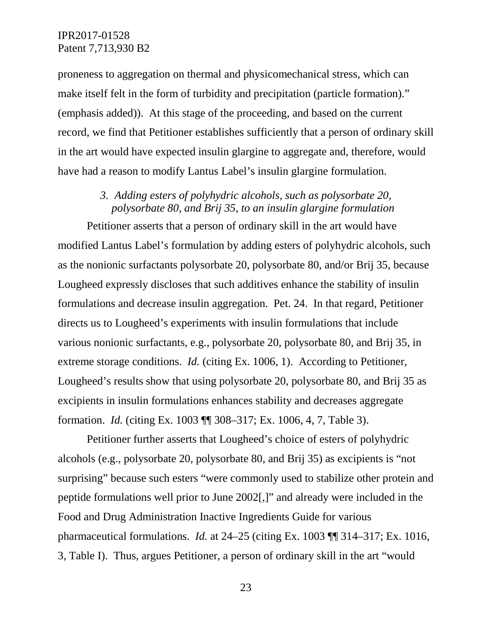proneness to aggregation on thermal and physicomechanical stress, which can make itself felt in the form of turbidity and precipitation (particle formation)." (emphasis added)). At this stage of the proceeding, and based on the current record, we find that Petitioner establishes sufficiently that a person of ordinary skill in the art would have expected insulin glargine to aggregate and, therefore, would have had a reason to modify Lantus Label's insulin glargine formulation.

## *3. Adding esters of polyhydric alcohols, such as polysorbate 20, polysorbate 80, and Brij 35, to an insulin glargine formulation*

Petitioner asserts that a person of ordinary skill in the art would have modified Lantus Label's formulation by adding esters of polyhydric alcohols, such as the nonionic surfactants polysorbate 20, polysorbate 80, and/or Brij 35, because Lougheed expressly discloses that such additives enhance the stability of insulin formulations and decrease insulin aggregation. Pet. 24. In that regard, Petitioner directs us to Lougheed's experiments with insulin formulations that include various nonionic surfactants, e.g., polysorbate 20, polysorbate 80, and Brij 35, in extreme storage conditions. *Id.* (citing Ex. 1006, 1). According to Petitioner, Lougheed's results show that using polysorbate 20, polysorbate 80, and Brij 35 as excipients in insulin formulations enhances stability and decreases aggregate formation. *Id.* (citing Ex. 1003 ¶¶ 308–317; Ex. 1006, 4, 7, Table 3).

Petitioner further asserts that Lougheed's choice of esters of polyhydric alcohols (e.g., polysorbate 20, polysorbate 80, and Brij 35) as excipients is "not surprising" because such esters "were commonly used to stabilize other protein and peptide formulations well prior to June 2002[,]" and already were included in the Food and Drug Administration Inactive Ingredients Guide for various pharmaceutical formulations. *Id.* at 24–25 (citing Ex. 1003 ¶¶ 314–317; Ex. 1016, 3, Table I). Thus, argues Petitioner, a person of ordinary skill in the art "would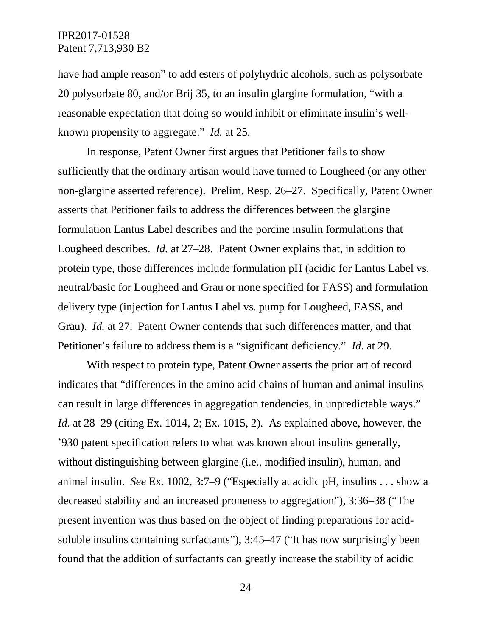have had ample reason" to add esters of polyhydric alcohols, such as polysorbate 20 polysorbate 80, and/or Brij 35, to an insulin glargine formulation, "with a reasonable expectation that doing so would inhibit or eliminate insulin's wellknown propensity to aggregate." *Id.* at 25.

In response, Patent Owner first argues that Petitioner fails to show sufficiently that the ordinary artisan would have turned to Lougheed (or any other non-glargine asserted reference). Prelim. Resp. 26–27. Specifically, Patent Owner asserts that Petitioner fails to address the differences between the glargine formulation Lantus Label describes and the porcine insulin formulations that Lougheed describes. *Id.* at 27–28. Patent Owner explains that, in addition to protein type, those differences include formulation pH (acidic for Lantus Label vs. neutral/basic for Lougheed and Grau or none specified for FASS) and formulation delivery type (injection for Lantus Label vs. pump for Lougheed, FASS, and Grau). *Id.* at 27. Patent Owner contends that such differences matter, and that Petitioner's failure to address them is a "significant deficiency." *Id.* at 29.

With respect to protein type, Patent Owner asserts the prior art of record indicates that "differences in the amino acid chains of human and animal insulins can result in large differences in aggregation tendencies, in unpredictable ways." *Id.* at 28–29 (citing Ex. 1014, 2; Ex. 1015, 2). As explained above, however, the '930 patent specification refers to what was known about insulins generally, without distinguishing between glargine (i.e., modified insulin), human, and animal insulin. *See* Ex. 1002, 3:7–9 ("Especially at acidic pH, insulins . . . show a decreased stability and an increased proneness to aggregation"), 3:36–38 ("The present invention was thus based on the object of finding preparations for acidsoluble insulins containing surfactants"), 3:45–47 ("It has now surprisingly been found that the addition of surfactants can greatly increase the stability of acidic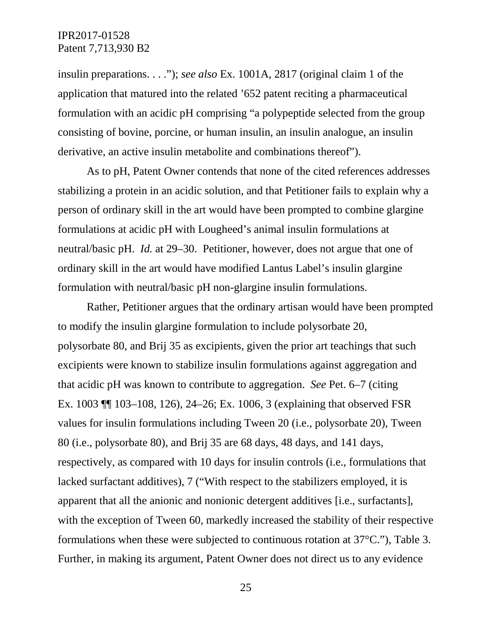insulin preparations. . . ."); *see also* Ex. 1001A, 2817 (original claim 1 of the application that matured into the related '652 patent reciting a pharmaceutical formulation with an acidic pH comprising "a polypeptide selected from the group consisting of bovine, porcine, or human insulin, an insulin analogue, an insulin derivative, an active insulin metabolite and combinations thereof").

As to pH, Patent Owner contends that none of the cited references addresses stabilizing a protein in an acidic solution, and that Petitioner fails to explain why a person of ordinary skill in the art would have been prompted to combine glargine formulations at acidic pH with Lougheed's animal insulin formulations at neutral/basic pH. *Id.* at 29–30. Petitioner, however, does not argue that one of ordinary skill in the art would have modified Lantus Label's insulin glargine formulation with neutral/basic pH non-glargine insulin formulations.

Rather, Petitioner argues that the ordinary artisan would have been prompted to modify the insulin glargine formulation to include polysorbate 20, polysorbate 80, and Brij 35 as excipients, given the prior art teachings that such excipients were known to stabilize insulin formulations against aggregation and that acidic pH was known to contribute to aggregation. *See* Pet. 6–7 (citing Ex. 1003 ¶¶ 103–108, 126), 24–26; Ex. 1006, 3 (explaining that observed FSR values for insulin formulations including Tween 20 (i.e., polysorbate 20), Tween 80 (i.e., polysorbate 80), and Brij 35 are 68 days, 48 days, and 141 days, respectively, as compared with 10 days for insulin controls (i.e., formulations that lacked surfactant additives), 7 ("With respect to the stabilizers employed, it is apparent that all the anionic and nonionic detergent additives [i.e., surfactants], with the exception of Tween 60, markedly increased the stability of their respective formulations when these were subjected to continuous rotation at 37°C."), Table 3. Further, in making its argument, Patent Owner does not direct us to any evidence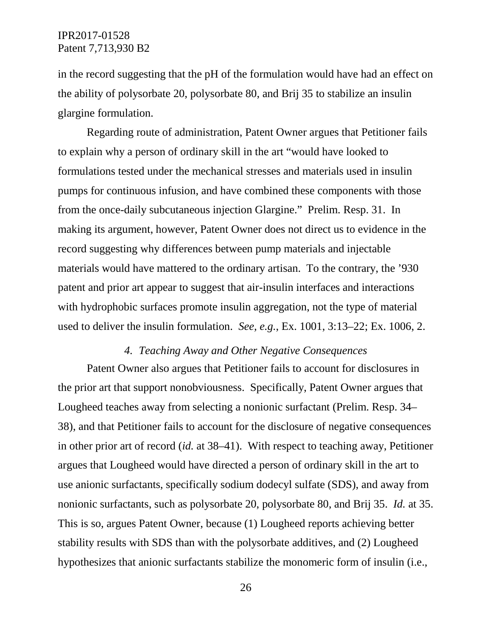in the record suggesting that the pH of the formulation would have had an effect on the ability of polysorbate 20, polysorbate 80, and Brij 35 to stabilize an insulin glargine formulation.

Regarding route of administration, Patent Owner argues that Petitioner fails to explain why a person of ordinary skill in the art "would have looked to formulations tested under the mechanical stresses and materials used in insulin pumps for continuous infusion, and have combined these components with those from the once-daily subcutaneous injection Glargine." Prelim. Resp. 31. In making its argument, however, Patent Owner does not direct us to evidence in the record suggesting why differences between pump materials and injectable materials would have mattered to the ordinary artisan. To the contrary, the '930 patent and prior art appear to suggest that air-insulin interfaces and interactions with hydrophobic surfaces promote insulin aggregation, not the type of material used to deliver the insulin formulation. *See, e.g.*, Ex. 1001, 3:13–22; Ex. 1006, 2.

### *4. Teaching Away and Other Negative Consequences*

Patent Owner also argues that Petitioner fails to account for disclosures in the prior art that support nonobviousness. Specifically, Patent Owner argues that Lougheed teaches away from selecting a nonionic surfactant (Prelim. Resp. 34– 38), and that Petitioner fails to account for the disclosure of negative consequences in other prior art of record (*id.* at 38–41). With respect to teaching away, Petitioner argues that Lougheed would have directed a person of ordinary skill in the art to use anionic surfactants, specifically sodium dodecyl sulfate (SDS), and away from nonionic surfactants, such as polysorbate 20, polysorbate 80, and Brij 35. *Id.* at 35. This is so, argues Patent Owner, because (1) Lougheed reports achieving better stability results with SDS than with the polysorbate additives, and (2) Lougheed hypothesizes that anionic surfactants stabilize the monomeric form of insulin (i.e.,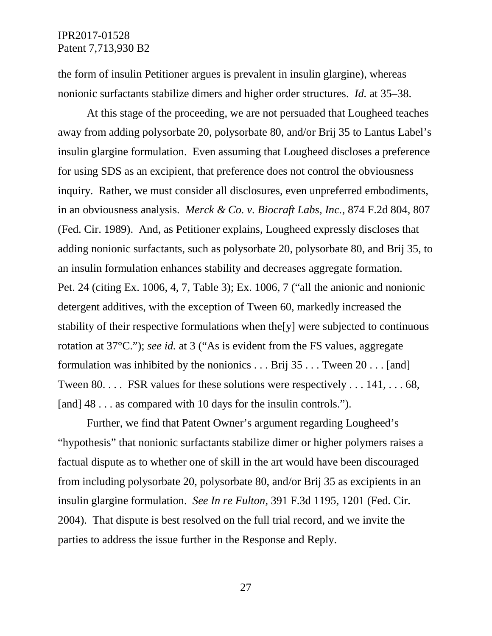the form of insulin Petitioner argues is prevalent in insulin glargine), whereas nonionic surfactants stabilize dimers and higher order structures. *Id.* at 35–38.

At this stage of the proceeding, we are not persuaded that Lougheed teaches away from adding polysorbate 20, polysorbate 80, and/or Brij 35 to Lantus Label's insulin glargine formulation. Even assuming that Lougheed discloses a preference for using SDS as an excipient, that preference does not control the obviousness inquiry. Rather, we must consider all disclosures, even unpreferred embodiments, in an obviousness analysis. *Merck & Co. v. Biocraft Labs, Inc.*, 874 F.2d 804, 807 (Fed. Cir. 1989). And, as Petitioner explains, Lougheed expressly discloses that adding nonionic surfactants, such as polysorbate 20, polysorbate 80, and Brij 35, to an insulin formulation enhances stability and decreases aggregate formation. Pet. 24 (citing Ex. 1006, 4, 7, Table 3); Ex. 1006, 7 ("all the anionic and nonionic detergent additives, with the exception of Tween 60, markedly increased the stability of their respective formulations when the[y] were subjected to continuous rotation at 37°C."); *see id.* at 3 ("As is evident from the FS values, aggregate formulation was inhibited by the nonionics  $\dots$  Brij 35  $\dots$  Tween 20  $\dots$  [and] Tween 80. . . . FSR values for these solutions were respectively . . . 141, . . . 68, [and] 48 . . . as compared with 10 days for the insulin controls.").

Further, we find that Patent Owner's argument regarding Lougheed's "hypothesis" that nonionic surfactants stabilize dimer or higher polymers raises a factual dispute as to whether one of skill in the art would have been discouraged from including polysorbate 20, polysorbate 80, and/or Brij 35 as excipients in an insulin glargine formulation. *See In re Fulton*, 391 F.3d 1195, 1201 (Fed. Cir. 2004). That dispute is best resolved on the full trial record, and we invite the parties to address the issue further in the Response and Reply.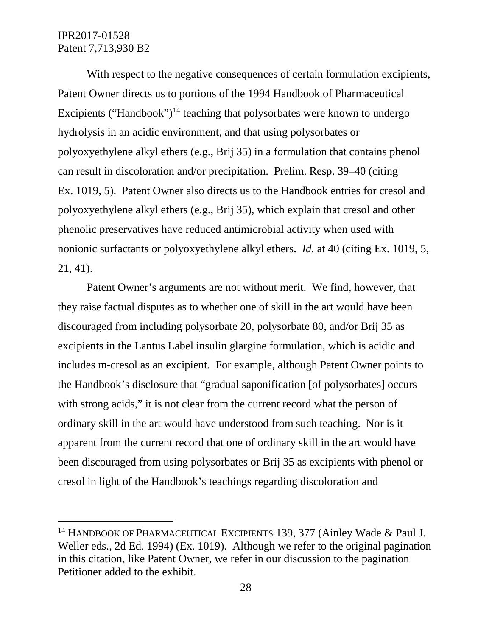With respect to the negative consequences of certain formulation excipients, Patent Owner directs us to portions of the 1994 Handbook of Pharmaceutical Excipients ("Handbook")<sup>[14](#page-27-0)</sup> teaching that polysorbates were known to undergo hydrolysis in an acidic environment, and that using polysorbates or polyoxyethylene alkyl ethers (e.g., Brij 35) in a formulation that contains phenol can result in discoloration and/or precipitation. Prelim. Resp. 39–40 (citing Ex. 1019, 5). Patent Owner also directs us to the Handbook entries for cresol and polyoxyethylene alkyl ethers (e.g., Brij 35), which explain that cresol and other phenolic preservatives have reduced antimicrobial activity when used with nonionic surfactants or polyoxyethylene alkyl ethers. *Id.* at 40 (citing Ex. 1019, 5, 21, 41).

Patent Owner's arguments are not without merit. We find, however, that they raise factual disputes as to whether one of skill in the art would have been discouraged from including polysorbate 20, polysorbate 80, and/or Brij 35 as excipients in the Lantus Label insulin glargine formulation, which is acidic and includes m-cresol as an excipient. For example, although Patent Owner points to the Handbook's disclosure that "gradual saponification [of polysorbates] occurs with strong acids," it is not clear from the current record what the person of ordinary skill in the art would have understood from such teaching. Nor is it apparent from the current record that one of ordinary skill in the art would have been discouraged from using polysorbates or Brij 35 as excipients with phenol or cresol in light of the Handbook's teachings regarding discoloration and

<span id="page-27-0"></span><sup>&</sup>lt;sup>14</sup> HANDBOOK OF PHARMACEUTICAL EXCIPIENTS 139, 377 (Ainley Wade & Paul J. Weller eds., 2d Ed. 1994) (Ex. 1019). Although we refer to the original pagination in this citation, like Patent Owner, we refer in our discussion to the pagination Petitioner added to the exhibit.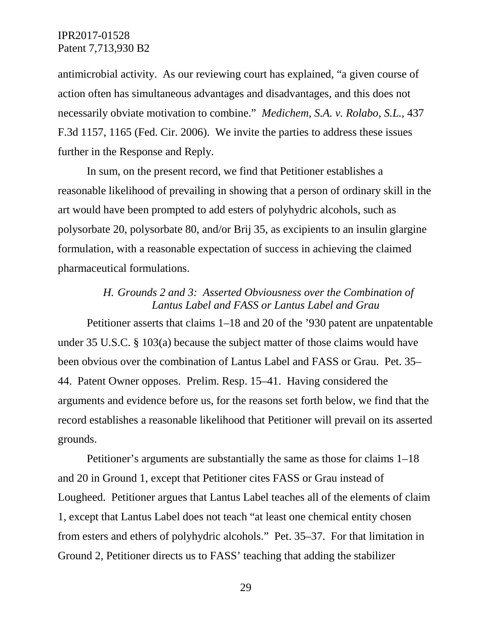antimicrobial activity. As our reviewing court has explained, "a given course of action often has simultaneous advantages and disadvantages, and this does not necessarily obviate motivation to combine." *Medichem, S.A. v. Rolabo, S.L.*, 437 F.3d 1157, 1165 (Fed. Cir. 2006). We invite the parties to address these issues further in the Response and Reply.

In sum, on the present record, we find that Petitioner establishes a reasonable likelihood of prevailing in showing that a person of ordinary skill in the art would have been prompted to add esters of polyhydric alcohols, such as polysorbate 20, polysorbate 80, and/or Brij 35, as excipients to an insulin glargine formulation, with a reasonable expectation of success in achieving the claimed pharmaceutical formulations.

# *H. Grounds 2 and 3: Asserted Obviousness over the Combination of Lantus Label and FASS or Lantus Label and Grau*

Petitioner asserts that claims 1–18 and 20 of the '930 patent are unpatentable under 35 U.S.C. § 103(a) because the subject matter of those claims would have been obvious over the combination of Lantus Label and FASS or Grau. Pet. 35– 44. Patent Owner opposes. Prelim. Resp. 15–41. Having considered the arguments and evidence before us, for the reasons set forth below, we find that the record establishes a reasonable likelihood that Petitioner will prevail on its asserted grounds.

Petitioner's arguments are substantially the same as those for claims 1–18 and 20 in Ground 1, except that Petitioner cites FASS or Grau instead of Lougheed. Petitioner argues that Lantus Label teaches all of the elements of claim 1, except that Lantus Label does not teach "at least one chemical entity chosen from esters and ethers of polyhydric alcohols." Pet. 35–37. For that limitation in Ground 2, Petitioner directs us to FASS' teaching that adding the stabilizer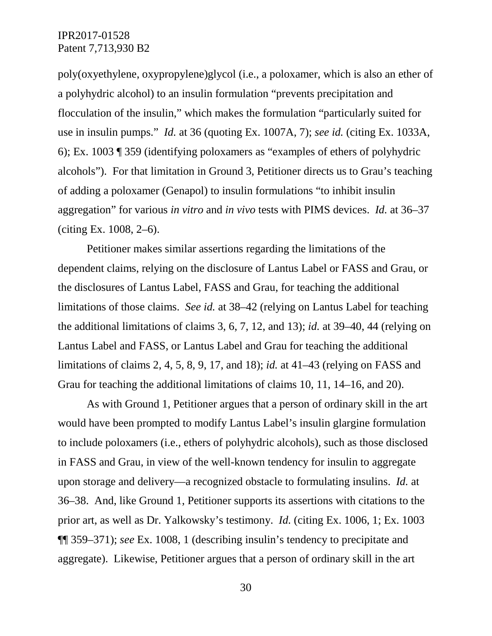poly(oxyethylene, oxypropylene)glycol (i.e., a poloxamer, which is also an ether of a polyhydric alcohol) to an insulin formulation "prevents precipitation and flocculation of the insulin," which makes the formulation "particularly suited for use in insulin pumps." *Id.* at 36 (quoting Ex. 1007A, 7); *see id.* (citing Ex. 1033A, 6); Ex. 1003 ¶ 359 (identifying poloxamers as "examples of ethers of polyhydric alcohols"). For that limitation in Ground 3, Petitioner directs us to Grau's teaching of adding a poloxamer (Genapol) to insulin formulations "to inhibit insulin aggregation" for various *in vitro* and *in vivo* tests with PIMS devices. *Id.* at 36–37 (citing Ex. 1008, 2–6).

Petitioner makes similar assertions regarding the limitations of the dependent claims, relying on the disclosure of Lantus Label or FASS and Grau, or the disclosures of Lantus Label, FASS and Grau, for teaching the additional limitations of those claims. *See id.* at 38–42 (relying on Lantus Label for teaching the additional limitations of claims 3, 6, 7, 12, and 13); *id.* at 39–40, 44 (relying on Lantus Label and FASS, or Lantus Label and Grau for teaching the additional limitations of claims 2, 4, 5, 8, 9, 17, and 18); *id.* at 41–43 (relying on FASS and Grau for teaching the additional limitations of claims 10, 11, 14–16, and 20).

As with Ground 1, Petitioner argues that a person of ordinary skill in the art would have been prompted to modify Lantus Label's insulin glargine formulation to include poloxamers (i.e., ethers of polyhydric alcohols), such as those disclosed in FASS and Grau, in view of the well-known tendency for insulin to aggregate upon storage and delivery—a recognized obstacle to formulating insulins. *Id.* at 36–38. And, like Ground 1, Petitioner supports its assertions with citations to the prior art, as well as Dr. Yalkowsky's testimony. *Id.* (citing Ex. 1006, 1; Ex. 1003 ¶¶ 359–371); *see* Ex. 1008, 1 (describing insulin's tendency to precipitate and aggregate). Likewise, Petitioner argues that a person of ordinary skill in the art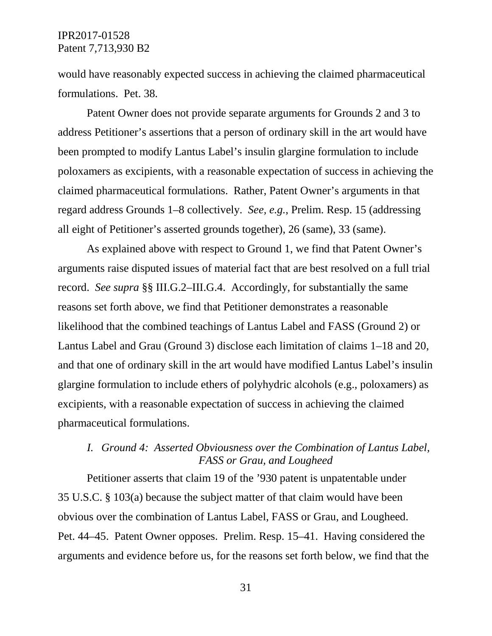would have reasonably expected success in achieving the claimed pharmaceutical formulations. Pet. 38.

Patent Owner does not provide separate arguments for Grounds 2 and 3 to address Petitioner's assertions that a person of ordinary skill in the art would have been prompted to modify Lantus Label's insulin glargine formulation to include poloxamers as excipients, with a reasonable expectation of success in achieving the claimed pharmaceutical formulations. Rather, Patent Owner's arguments in that regard address Grounds 1–8 collectively. *See, e.g.*, Prelim. Resp. 15 (addressing all eight of Petitioner's asserted grounds together), 26 (same), 33 (same).

As explained above with respect to Ground 1, we find that Patent Owner's arguments raise disputed issues of material fact that are best resolved on a full trial record. *See supra* §§ III.G.2–III.G.4. Accordingly, for substantially the same reasons set forth above, we find that Petitioner demonstrates a reasonable likelihood that the combined teachings of Lantus Label and FASS (Ground 2) or Lantus Label and Grau (Ground 3) disclose each limitation of claims 1–18 and 20, and that one of ordinary skill in the art would have modified Lantus Label's insulin glargine formulation to include ethers of polyhydric alcohols (e.g., poloxamers) as excipients, with a reasonable expectation of success in achieving the claimed pharmaceutical formulations.

## *I. Ground 4: Asserted Obviousness over the Combination of Lantus Label, FASS or Grau, and Lougheed*

Petitioner asserts that claim 19 of the '930 patent is unpatentable under 35 U.S.C. § 103(a) because the subject matter of that claim would have been obvious over the combination of Lantus Label, FASS or Grau, and Lougheed. Pet. 44–45. Patent Owner opposes. Prelim. Resp. 15–41. Having considered the arguments and evidence before us, for the reasons set forth below, we find that the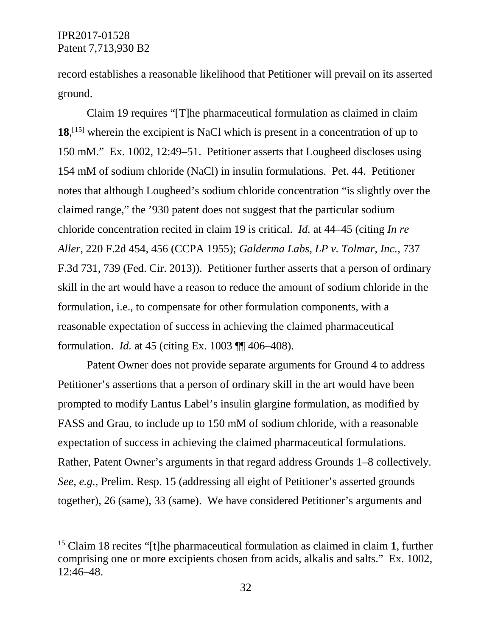record establishes a reasonable likelihood that Petitioner will prevail on its asserted ground.

Claim 19 requires "[T]he pharmaceutical formulation as claimed in claim **18**, [[15](#page-31-0)] wherein the excipient is NaCl which is present in a concentration of up to 150 mM." Ex. 1002, 12:49–51. Petitioner asserts that Lougheed discloses using 154 mM of sodium chloride (NaCl) in insulin formulations. Pet. 44. Petitioner notes that although Lougheed's sodium chloride concentration "is slightly over the claimed range," the '930 patent does not suggest that the particular sodium chloride concentration recited in claim 19 is critical. *Id.* at 44–45 (citing *In re Aller*, 220 F.2d 454, 456 (CCPA 1955); *Galderma Labs, LP v. Tolmar, Inc.*, 737 F.3d 731, 739 (Fed. Cir. 2013)). Petitioner further asserts that a person of ordinary skill in the art would have a reason to reduce the amount of sodium chloride in the formulation, i.e., to compensate for other formulation components, with a reasonable expectation of success in achieving the claimed pharmaceutical formulation. *Id.* at 45 (citing Ex. 1003 ¶¶ 406–408).

Patent Owner does not provide separate arguments for Ground 4 to address Petitioner's assertions that a person of ordinary skill in the art would have been prompted to modify Lantus Label's insulin glargine formulation, as modified by FASS and Grau, to include up to 150 mM of sodium chloride, with a reasonable expectation of success in achieving the claimed pharmaceutical formulations. Rather, Patent Owner's arguments in that regard address Grounds 1–8 collectively. *See, e.g.*, Prelim. Resp. 15 (addressing all eight of Petitioner's asserted grounds together), 26 (same), 33 (same). We have considered Petitioner's arguments and

<span id="page-31-0"></span> <sup>15</sup> Claim 18 recites "[t]he pharmaceutical formulation as claimed in claim **1**, further comprising one or more excipients chosen from acids, alkalis and salts." Ex. 1002, 12:46–48.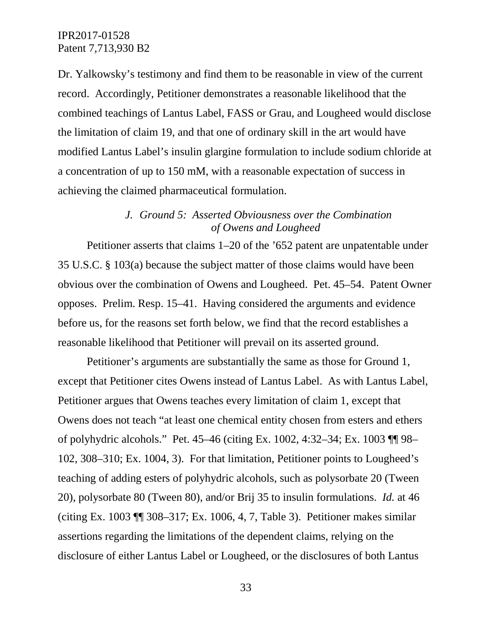Dr. Yalkowsky's testimony and find them to be reasonable in view of the current record. Accordingly, Petitioner demonstrates a reasonable likelihood that the combined teachings of Lantus Label, FASS or Grau, and Lougheed would disclose the limitation of claim 19, and that one of ordinary skill in the art would have modified Lantus Label's insulin glargine formulation to include sodium chloride at a concentration of up to 150 mM, with a reasonable expectation of success in achieving the claimed pharmaceutical formulation.

### *J. Ground 5: Asserted Obviousness over the Combination of Owens and Lougheed*

Petitioner asserts that claims 1–20 of the '652 patent are unpatentable under 35 U.S.C. § 103(a) because the subject matter of those claims would have been obvious over the combination of Owens and Lougheed. Pet. 45–54. Patent Owner opposes. Prelim. Resp. 15–41. Having considered the arguments and evidence before us, for the reasons set forth below, we find that the record establishes a reasonable likelihood that Petitioner will prevail on its asserted ground.

Petitioner's arguments are substantially the same as those for Ground 1, except that Petitioner cites Owens instead of Lantus Label. As with Lantus Label, Petitioner argues that Owens teaches every limitation of claim 1, except that Owens does not teach "at least one chemical entity chosen from esters and ethers of polyhydric alcohols." Pet. 45–46 (citing Ex. 1002, 4:32–34; Ex. 1003 ¶¶ 98– 102, 308–310; Ex. 1004, 3). For that limitation, Petitioner points to Lougheed's teaching of adding esters of polyhydric alcohols, such as polysorbate 20 (Tween 20), polysorbate 80 (Tween 80), and/or Brij 35 to insulin formulations. *Id.* at 46 (citing Ex. 1003 ¶¶ 308–317; Ex. 1006, 4, 7, Table 3). Petitioner makes similar assertions regarding the limitations of the dependent claims, relying on the disclosure of either Lantus Label or Lougheed, or the disclosures of both Lantus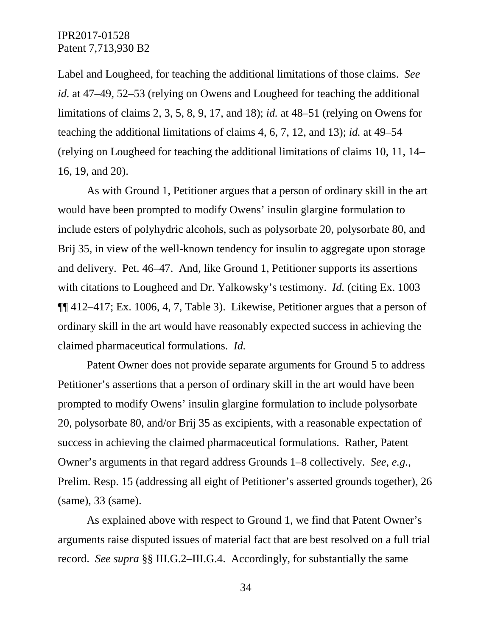Label and Lougheed, for teaching the additional limitations of those claims. *See id.* at 47–49, 52–53 (relying on Owens and Lougheed for teaching the additional limitations of claims 2, 3, 5, 8, 9, 17, and 18); *id.* at 48–51 (relying on Owens for teaching the additional limitations of claims 4, 6, 7, 12, and 13); *id.* at 49–54 (relying on Lougheed for teaching the additional limitations of claims 10, 11, 14– 16, 19, and 20).

As with Ground 1, Petitioner argues that a person of ordinary skill in the art would have been prompted to modify Owens' insulin glargine formulation to include esters of polyhydric alcohols, such as polysorbate 20, polysorbate 80, and Brij 35, in view of the well-known tendency for insulin to aggregate upon storage and delivery. Pet. 46–47. And, like Ground 1, Petitioner supports its assertions with citations to Lougheed and Dr. Yalkowsky's testimony. *Id.* (citing Ex. 1003 ¶¶ 412–417; Ex. 1006, 4, 7, Table 3). Likewise, Petitioner argues that a person of ordinary skill in the art would have reasonably expected success in achieving the claimed pharmaceutical formulations. *Id.*

Patent Owner does not provide separate arguments for Ground 5 to address Petitioner's assertions that a person of ordinary skill in the art would have been prompted to modify Owens' insulin glargine formulation to include polysorbate 20, polysorbate 80, and/or Brij 35 as excipients, with a reasonable expectation of success in achieving the claimed pharmaceutical formulations. Rather, Patent Owner's arguments in that regard address Grounds 1–8 collectively. *See, e.g.*, Prelim. Resp. 15 (addressing all eight of Petitioner's asserted grounds together), 26 (same), 33 (same).

As explained above with respect to Ground 1, we find that Patent Owner's arguments raise disputed issues of material fact that are best resolved on a full trial record. *See supra* §§ III.G.2–III.G.4. Accordingly, for substantially the same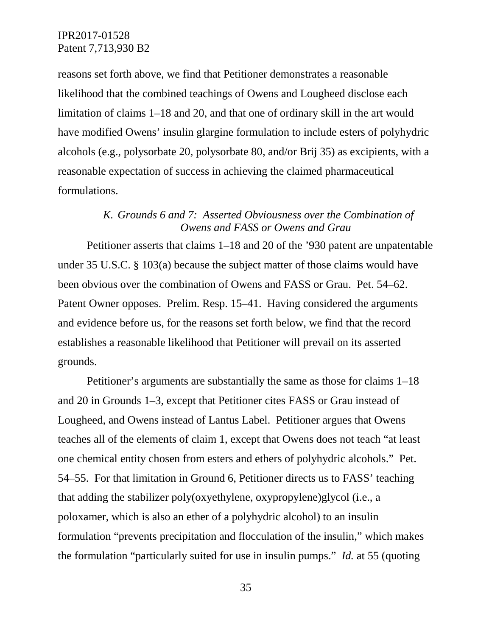reasons set forth above, we find that Petitioner demonstrates a reasonable likelihood that the combined teachings of Owens and Lougheed disclose each limitation of claims 1–18 and 20, and that one of ordinary skill in the art would have modified Owens' insulin glargine formulation to include esters of polyhydric alcohols (e.g., polysorbate 20, polysorbate 80, and/or Brij 35) as excipients, with a reasonable expectation of success in achieving the claimed pharmaceutical formulations.

## *K. Grounds 6 and 7: Asserted Obviousness over the Combination of Owens and FASS or Owens and Grau*

Petitioner asserts that claims 1–18 and 20 of the '930 patent are unpatentable under 35 U.S.C. § 103(a) because the subject matter of those claims would have been obvious over the combination of Owens and FASS or Grau. Pet. 54–62. Patent Owner opposes. Prelim. Resp. 15–41. Having considered the arguments and evidence before us, for the reasons set forth below, we find that the record establishes a reasonable likelihood that Petitioner will prevail on its asserted grounds.

Petitioner's arguments are substantially the same as those for claims 1–18 and 20 in Grounds 1–3, except that Petitioner cites FASS or Grau instead of Lougheed, and Owens instead of Lantus Label. Petitioner argues that Owens teaches all of the elements of claim 1, except that Owens does not teach "at least one chemical entity chosen from esters and ethers of polyhydric alcohols." Pet. 54–55. For that limitation in Ground 6, Petitioner directs us to FASS' teaching that adding the stabilizer poly(oxyethylene, oxypropylene)glycol (i.e., a poloxamer, which is also an ether of a polyhydric alcohol) to an insulin formulation "prevents precipitation and flocculation of the insulin," which makes the formulation "particularly suited for use in insulin pumps." *Id.* at 55 (quoting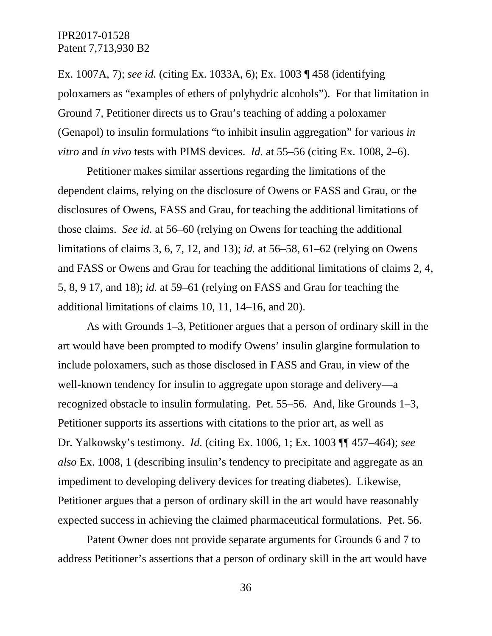Ex. 1007A, 7); *see id.* (citing Ex. 1033A, 6); Ex. 1003 ¶ 458 (identifying poloxamers as "examples of ethers of polyhydric alcohols"). For that limitation in Ground 7, Petitioner directs us to Grau's teaching of adding a poloxamer (Genapol) to insulin formulations "to inhibit insulin aggregation" for various *in vitro* and *in vivo* tests with PIMS devices. *Id.* at 55–56 (citing Ex. 1008, 2–6).

Petitioner makes similar assertions regarding the limitations of the dependent claims, relying on the disclosure of Owens or FASS and Grau, or the disclosures of Owens, FASS and Grau, for teaching the additional limitations of those claims. *See id.* at 56–60 (relying on Owens for teaching the additional limitations of claims 3, 6, 7, 12, and 13); *id.* at 56–58, 61–62 (relying on Owens and FASS or Owens and Grau for teaching the additional limitations of claims 2, 4, 5, 8, 9 17, and 18); *id.* at 59–61 (relying on FASS and Grau for teaching the additional limitations of claims 10, 11, 14–16, and 20).

As with Grounds 1–3, Petitioner argues that a person of ordinary skill in the art would have been prompted to modify Owens' insulin glargine formulation to include poloxamers, such as those disclosed in FASS and Grau, in view of the well-known tendency for insulin to aggregate upon storage and delivery—a recognized obstacle to insulin formulating. Pet. 55–56. And, like Grounds 1–3, Petitioner supports its assertions with citations to the prior art, as well as Dr. Yalkowsky's testimony. *Id.* (citing Ex. 1006, 1; Ex. 1003 ¶¶ 457–464); *see also* Ex. 1008, 1 (describing insulin's tendency to precipitate and aggregate as an impediment to developing delivery devices for treating diabetes). Likewise, Petitioner argues that a person of ordinary skill in the art would have reasonably expected success in achieving the claimed pharmaceutical formulations. Pet. 56.

Patent Owner does not provide separate arguments for Grounds 6 and 7 to address Petitioner's assertions that a person of ordinary skill in the art would have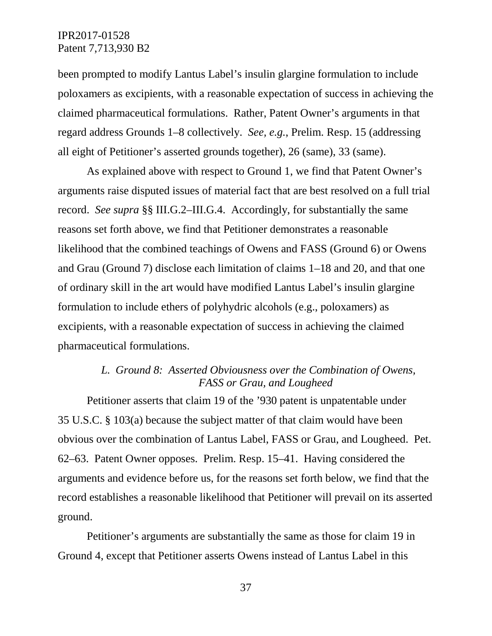been prompted to modify Lantus Label's insulin glargine formulation to include poloxamers as excipients, with a reasonable expectation of success in achieving the claimed pharmaceutical formulations. Rather, Patent Owner's arguments in that regard address Grounds 1–8 collectively. *See, e.g.*, Prelim. Resp. 15 (addressing all eight of Petitioner's asserted grounds together), 26 (same), 33 (same).

As explained above with respect to Ground 1, we find that Patent Owner's arguments raise disputed issues of material fact that are best resolved on a full trial record. *See supra* §§ III.G.2–III.G.4. Accordingly, for substantially the same reasons set forth above, we find that Petitioner demonstrates a reasonable likelihood that the combined teachings of Owens and FASS (Ground 6) or Owens and Grau (Ground 7) disclose each limitation of claims 1–18 and 20, and that one of ordinary skill in the art would have modified Lantus Label's insulin glargine formulation to include ethers of polyhydric alcohols (e.g., poloxamers) as excipients, with a reasonable expectation of success in achieving the claimed pharmaceutical formulations.

# *L. Ground 8: Asserted Obviousness over the Combination of Owens, FASS or Grau, and Lougheed*

Petitioner asserts that claim 19 of the '930 patent is unpatentable under 35 U.S.C. § 103(a) because the subject matter of that claim would have been obvious over the combination of Lantus Label, FASS or Grau, and Lougheed. Pet. 62–63. Patent Owner opposes. Prelim. Resp. 15–41. Having considered the arguments and evidence before us, for the reasons set forth below, we find that the record establishes a reasonable likelihood that Petitioner will prevail on its asserted ground.

Petitioner's arguments are substantially the same as those for claim 19 in Ground 4, except that Petitioner asserts Owens instead of Lantus Label in this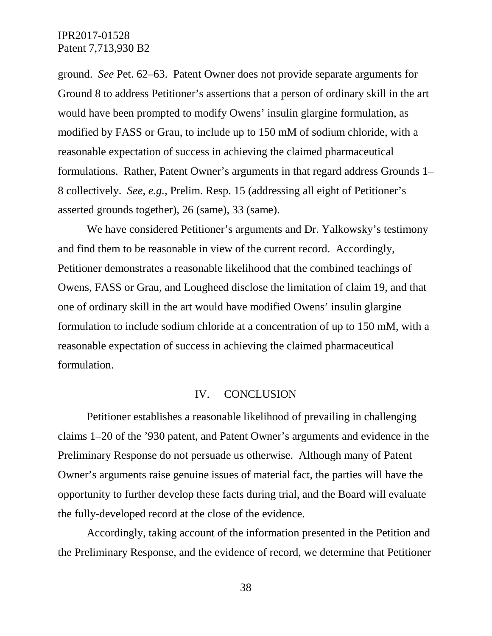ground. *See* Pet. 62–63. Patent Owner does not provide separate arguments for Ground 8 to address Petitioner's assertions that a person of ordinary skill in the art would have been prompted to modify Owens' insulin glargine formulation, as modified by FASS or Grau, to include up to 150 mM of sodium chloride, with a reasonable expectation of success in achieving the claimed pharmaceutical formulations. Rather, Patent Owner's arguments in that regard address Grounds 1– 8 collectively. *See, e.g.*, Prelim. Resp. 15 (addressing all eight of Petitioner's asserted grounds together), 26 (same), 33 (same).

We have considered Petitioner's arguments and Dr. Yalkowsky's testimony and find them to be reasonable in view of the current record. Accordingly, Petitioner demonstrates a reasonable likelihood that the combined teachings of Owens, FASS or Grau, and Lougheed disclose the limitation of claim 19, and that one of ordinary skill in the art would have modified Owens' insulin glargine formulation to include sodium chloride at a concentration of up to 150 mM, with a reasonable expectation of success in achieving the claimed pharmaceutical formulation.

#### IV. CONCLUSION

Petitioner establishes a reasonable likelihood of prevailing in challenging claims 1–20 of the '930 patent, and Patent Owner's arguments and evidence in the Preliminary Response do not persuade us otherwise. Although many of Patent Owner's arguments raise genuine issues of material fact, the parties will have the opportunity to further develop these facts during trial, and the Board will evaluate the fully-developed record at the close of the evidence.

Accordingly, taking account of the information presented in the Petition and the Preliminary Response, and the evidence of record, we determine that Petitioner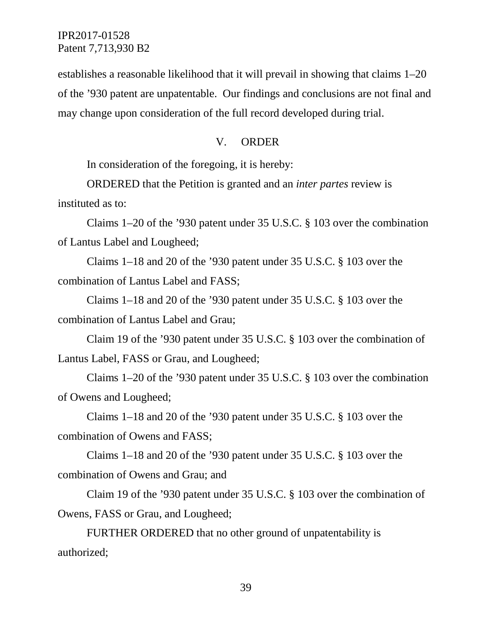establishes a reasonable likelihood that it will prevail in showing that claims 1–20 of the '930 patent are unpatentable. Our findings and conclusions are not final and may change upon consideration of the full record developed during trial.

### V. ORDER

In consideration of the foregoing, it is hereby:

ORDERED that the Petition is granted and an *inter partes* review is instituted as to:

Claims 1–20 of the '930 patent under 35 U.S.C. § 103 over the combination of Lantus Label and Lougheed;

Claims 1–18 and 20 of the '930 patent under 35 U.S.C. § 103 over the combination of Lantus Label and FASS;

Claims 1–18 and 20 of the '930 patent under 35 U.S.C. § 103 over the combination of Lantus Label and Grau;

Claim 19 of the '930 patent under 35 U.S.C. § 103 over the combination of Lantus Label, FASS or Grau, and Lougheed;

Claims 1–20 of the '930 patent under 35 U.S.C. § 103 over the combination of Owens and Lougheed;

Claims 1–18 and 20 of the '930 patent under 35 U.S.C. § 103 over the combination of Owens and FASS;

Claims 1–18 and 20 of the '930 patent under 35 U.S.C. § 103 over the combination of Owens and Grau; and

Claim 19 of the '930 patent under 35 U.S.C. § 103 over the combination of Owens, FASS or Grau, and Lougheed;

FURTHER ORDERED that no other ground of unpatentability is authorized;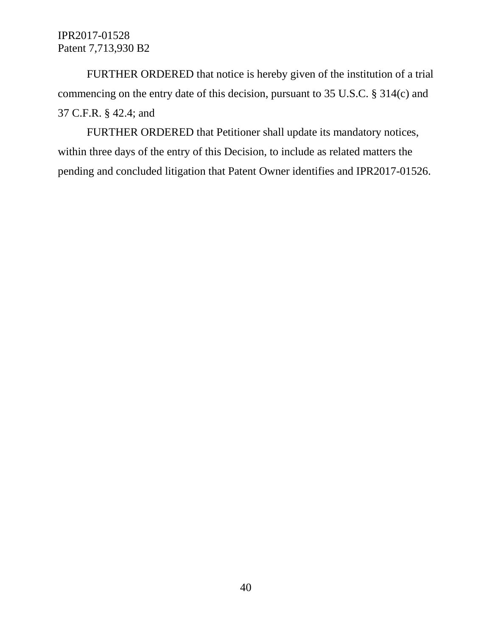FURTHER ORDERED that notice is hereby given of the institution of a trial commencing on the entry date of this decision, pursuant to 35 U.S.C. § 314(c) and 37 C.F.R. § 42.4; and

FURTHER ORDERED that Petitioner shall update its mandatory notices, within three days of the entry of this Decision, to include as related matters the pending and concluded litigation that Patent Owner identifies and IPR2017-01526.